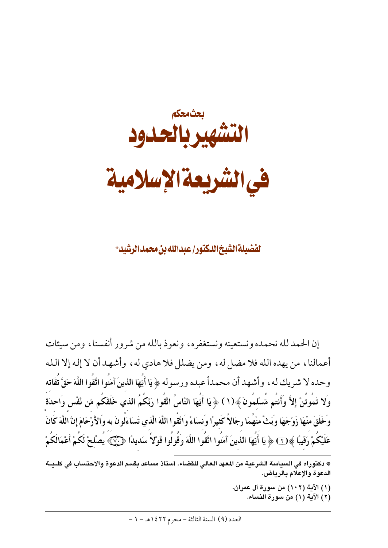

لفضيلة الشيخ الدكتور إعيدالله بن محمد الرشيد\*

إن الحمد لله نحمده ونستعينه ونستغفره، ونعوذ بالله من شرور أنفسنا، ومن سيئات أعمالنا، من يهده الله فلا مضل له، ومن يضلل فلا هادي له، وأشهد أن لا إله إلا الله وحده لا شريك له ، وأشهد أن محمداً عبده ورسوله ﴿ يَا أَيُّهَا الذينَ آمَنُوا اتَّقُوا اللَّهَ حَقَّ تُقَاته وَلا تَمُوتُنَّ إِلاَّ وَأَنتُم مَّسْلمُونَ ﴾(١ ) ﴿ يَا أَيُّهَا النَّاسُ اتَّقُوا رَبَّكُمُ الذي خَلَقَكُم مّن ئَفْس وَاحدَة وَخَلَقَ منْهَا زَوْجَهَا وَبَتْ مَنْهُمَا رِجَالاً كَثِيرًا وَنسَاءً وَاتَّقُوا اللَّهَ الَّذي تَسَاءَلُونَ به والأَرْحَامَ إنَّ اللَّهَ كَانَ عَلَيْكُمْ رَقِيبًا ﴾ $\overline{\rm T}$  ﴿ يَا أَيَّهَا الذينَ آمَنُوا اتَّقُوا اللَّهَ وَقَولُوا قَوْلاً سَديدًا ﴿ بِهِ يُصْلحْ لَكُمْ أَعْمَالَكُمْ

- (١) الآية (١٠٢) من سورة آل عمران.
	- (٢) الآية (١) من سورة النساء.

<sup>\*</sup> دكتوراه في السياسة الشرعية من المعهد العالي للقضاء. أستاذ مساعد بقسم الدعوة والاحتساب في كلـيــة الدعوة والإعلام بالرياض.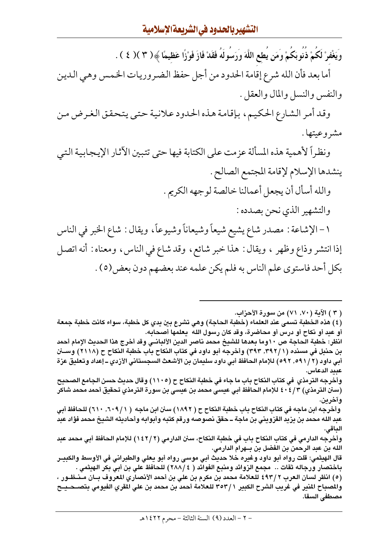وَيَغْفرْ لَكُمْ ذُنُوبَكُمْ وَمَن يُطع اللَّهَ وَرَسُولَهُ فَقَدْ فَازَ فَوْزًا عَظيمًا ﴾( ٣ )( ٤ ).

أما بعد فأن الله شرع إقامة الحدود من أجل حفظ الضروريات الخمس وهي الدين والنفس والنسل والمال والعقل .

وقد أمر الشارع الحكيم، بإقامة هذه الحدود علانية حتى يتحقق الغرض من مشروعيتها .

ونظراً لأهمية هذه المسألة عزمت على الكتابة فيها حتى تتبين الأثار الإيجابية التي ينشدها الإسلام لإقامة المجتمع الصالح .

والله أسأل أن يجعل أعمالنا خالصة لوجهه الكريم .

والتشهير الذي نحن بصدده :

١ – الإشاعة : مصدر شاع يشيع شيعاً وشيعاناً وشيوعاً، ويقال : شاع الخبر في الناس إذا انتشر وذاع وظهر ، ويقال : هذا خبر شائع ، وقد شاع في الناس، ومعناه : أنه اتصل بكل أحد فاستوى علم الناس به فلم يكن علمه عند بعضهم دون بعض(٥) .

( ٣ ) الآية ( ٧٠, ٧١) من سورة الأحزاب.

(٤) هذه الخطبة تسمى عند العلماء (خطبة الحاجة) وهي تشرع بين يدي كل خطبة، سواء كانت خطبة جمعة أو عيد أو نكاح أو درس أو محاضرة، وقد كان رسول الله ۖ يعلمها أصحابه.

انظر: خطبة الحاجة ص ١٠وما بعدها للشيخ محمد ناصر الدين الألبانـي وقد أخرج هذا الحديث الإمام أحمد بن حنبل في مسنده (١ /٣٩٢, ٣٩٣) وأخرجه أبو داود في كتاب النكاح باب خطبة النكاح ح (٢١١٨) وســـــــــــــــــــــ أبي داود (٢ /٥٩١ , ٥٩٢) للإمام الحافظ أبي داود سليمان بن الأشعث السجستاني الأزدي ـ إعداد وتعليق عزة عبيد الدعاس.

وأخرجه الترمذي في كتاب النكاح باب ما جاء في خطبة النكاح ح (١١٠٥) وقال حديث حسن الجامع الصحيح (سنن الترمذي) ٤٠٤/٣ كلإمام الحافظ أبي عيسى محمد بن عيسى بن سورة الترمذي تحقيق أحمد محمد شاكر وآخرين.

وأخرجه ابن ماجه في كتاب النكاح باب خطبة النكاح ح ( ١٨٩٢) سنن ابن ماجه ( ١ / ٦٠٩, ٦٠١) للحافظ أبي عبد الله محمد بن يزيد القزويني بن ماجة ــ حقق نصوصه ورقم كتبه وأبوابه وأحاديثه الشيخ محمد فؤاد عبد الداقى.

وأخرجه الدارمي في كتاب النكاح باب في خطبة النكاح، سنن الدارمي (٢ / ١٤٢) للإمام الحافظ أبي محمد عبد الله بن عبد الرحمن بن الفضل بن بــهرام الدارمي.

قال الهيثمي: قلت رواه أبو داود وغيره خلا حديث أبي موسى رواه أبو يعلي والطبراني في الأوسط والكبيـر باختصار ورجاله ثقات .. مجمع الزوائد ومنبع الفوائد ( ٤ /٢٨٨) للحافظ على بن أبي بكر الهيثمي .

(٥) انظر لسان العرب ٢ /٤٩٣ للعلامة محمد بن مكرم بن علي بن أحمد الأنصاري المعروف بــان مــنــظــور ، والمصباح المنير في غريب الشرح الكبير ٣٥٣/١ للعلامة أحمد بن محمد بن على المقري الفيومي بتصــــــــح مصطفى السقا.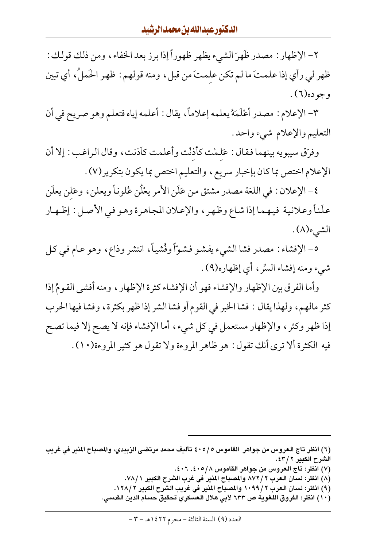٢- الإظهار : مصدر ظَهِرَ الشيء يظهر ظهوراً إذا برز بعد الخفاء ، ومن ذلك قولك : ظهر لي رأى إذا علمتَ ما لم تكن علمتَ من قبلِ، ومنه قولهم : ظهر الحَملُ، أي تبين وجوده(٦).

٣- الإعلام : مصدر أعْلَمَهُ يعلمه إعلاماً، يقال : أعلمه إياه فتعلم وهو صريح في أن التعليم والإعلام شيء واحد.

وفرّق سيبويه بينهما فقال : عَلمْت كأذنْت وأعلمت كاّذنت، وقال الراغب : إلا أن الإعلام اختص بما كان بإخبار سريع، والتعليم اختص بما يكون بتكرير(٧) .

٤- الإعلان : في اللغة مصدر مشتق من عَلَن الأمر يعْلُن عُلوناً ويعلن ، وعَلن يعلَن علَناً وعلانية فيهما إذا شاع وظهر ، والإعلان المجاهرة وهو في الأصل : إظهار الشيء(٨).

٥- الإفشاء : مصدر فشا الشيء يفشو فشوّاً وفُشياً، انتشر وذاع، وهو عـام في كـل شيء ومنه إفشاء السِّر ، أي إظهاره(٩) .

وأما الفرق بين الإظهار والإفشاء فهو أن الإفشاء كثرة الإظهار ، ومنه أفشى القومُ إذا كثر مالهم، ولهذا يقال : فشا الخبر في القوم أو فشا الشر إذا ظهر بكثرة، وفشا فيها الحرب إذا ظهر وكثر ، والإظهار مستعمل في كل شيء، أما الإفشاء فإنه لا يصح إلا فيما تصح فيه الكثرة ألا ترى أنك تقول: هو ظاهر المروءة ولا تقول هو كثير المروءة(١٠).

- (٧) انظر: تاج العروس من جواهر القاموس ٤٠٥/٨. ٤٠٦.
- (٨) انظر: لسان العرب ٢ / ٨٧٢ والمصباح المنير في غرب الشرح الكبير ٧٨/١.

(٩) انظر: لسان العرب ٢ / ١٠٩٩ والمصباح المنير في غريب الشرح الكبير ٢ / ١٢٨.

(١٠) انظر: الفروق اللغوية ص ٦٣٣ لأبي هلال العسكري تحقيق حسام الدين القدسي.

<sup>(</sup>٦) انظر تاج العروس من جواهر القاموس ٤٠٥/٥ تأليف محمد مرتضى الزبيدي، والمصباح المنير في غريب الشرح الكبير ٢/ ٤٣.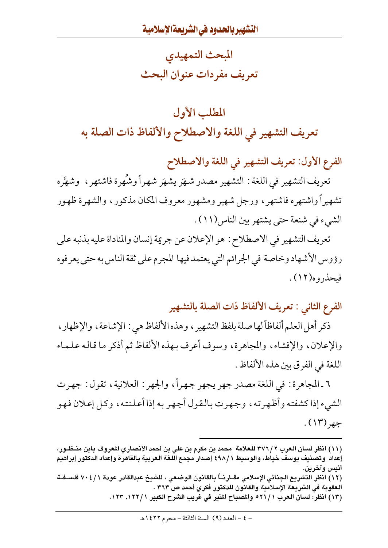المبحث التمهيدي تعريف مفردات عنوان البحث

# المطلب الأول تعريف التشهير في اللغة والاصطلاح والألفاظ ذات الصلة به

الفرع الأول: تعريف التشهير في اللغة والاصطلاح

تعريف التشهير في اللغة : التشهير مصدر شهَر يشهَر شهراً وشُهرة فاشتهر ، وشهَّره تشهيرأ واشتهره فاشتهر ، ورجل شهير ومشهور معروف المكان مذكور ، والشهرة ظهور الشيء في شنعة حتى يشتهر بين الناس(١١) .

تعريف التشهير في الاصطلاح : هو الإعلان عن جريمة إنسان والمناداة عليه بذنبه على رؤوس الأشهاد وخاصة في الجرائم التي يعتمد فيها المجرم على ثقة الناس به حتى يعرفوه فيحذروه(١٢).

الفرع الثاني : تعريف الألفاظ ذات الصلة بالتشهير

ذكر أهل العلم ألفاظاً لها صلة بلفظ التشهير ، وهذه الألفاظ هي : الإشاعة ، والإظهار ، والإعلان، والإفشاء، والمجاهرة، وسوف أعرف بهذه الألفاظ ثم أذكر ما قاله علماء اللغة في الفر ق بين هذه الألفاظ .

٦ ـ المجاهرة : في اللغة مصدر جهر يجهر جهراً، والجهر : العلانية، تقول : جهرت الشيء إذا كشفته وأظهرته، وجهرت بالقول أجهر به إذا أعلنته، وكل إعلان فهو جهر (۱۳).

(١٣) انظر: لسان العرب ٢١/١٥ والمصباح المنير في غريب الشرح الكبير ١٢٢/١٢٣. ١٢٣.

<sup>(</sup>١١) انظر لسان العرب ٢ /٣٧٦ للعلامة محمد بن مكرم بن علي بن أحمد الأنصاري المعروف بابن منــظـور، إعداد وتصنيف يوسف خياط، والوسيط 1 /٤٩٨ إصدار مجمع اللغة العربية بالقاهرة وإعداد الدكتور إبراهيم أنيس وآخرين.

<sup>(</sup>١٢) انظر التشريع الجنائي الإسلامي مقــارنــاً بالقانون الوضعي ، للشيخ عبدالقادر عودة ٧٠٤/١ فلســفــة العقوبة في الشريعة الإسلامية والقانون للدكتور فكري أحمد ص ٣٦٣ .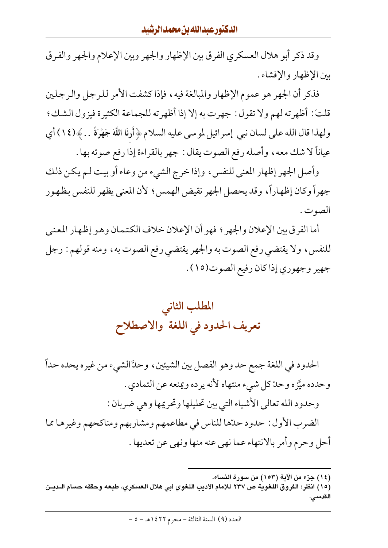وقد ذكر أبو هلال العسكري الفرق بين الإظهار والجهر وبين الإعلام والجهر والفرق بين الإظهار والإفشاء .

فذكر أن الجهر هو عموم الإظهار والمبالغة فيه، فإذا كشفت الأمر للرجل والرجلين قلتَ: أظهرته لهم ولا تقول : جهرت به إلا إذا أظهرته للجماعة الكثيرة فيزول الشك؛ ولهذا قال الله على لسان نبي إسرائيل لموسى عليه السلام ﴿ أَرنَا اللَّهَ جَهْرَةً … ﴾(١٤) أي عياناً لا شك معه، وأصله رفع الصوت يقال : جهر بالقراءة إذا رفع صوته بها .

وأصل الجهر إظهار المعنى للنفس، وإذا خرج الشيء من وعاء أو بيت لـم يكن ذلك جهراً وكان إظهاراً، وقد يحصل الجهر نقيض الهمس؛ لأن المعنى يظهر للنفس بظهور الصو ت .

أما الفرق بين الإعلان والجهر ؛ فهو أن الإعلان خلاف الكتمان وهو إظهار المعنى للنفس، ولا يقتضي رفع الصوت به والجهر يقتضي رفع الصوت به، ومنه قولهم : رجل جهير وجهوري إذا كان رفيع الصوت(١٥) .



الحدود في اللغة جمع حد وهو الفصل بين الشيئين، وحدَّ الشيء من غيره يحده حداً وحدده ميَّزه وحدّ كل شيء منتهاه لأنه يرده ويمنعه عن التمادي . وحدود الله تعالى الأشياء التي بين تحليلها وتحريمها وهي ضربان : الضرب الأول : حدود حدّها للناس في مطاعمهم ومشاربهم ومناكحهم وغيرها مما أحل وحرم وأمر بالانتهاء عما نهى عنه منها ونهى عن تعديها .

<sup>(</sup>١٤) جزء من الآية (١٥٣) من سورة النساء.

<sup>(</sup>١٥) انظر: الفروق اللغوية ص ٢٣٧ للإمام الأديب اللغوي أبي هلال العسكري، طبعه وحققه حسام الـديـن القدسي.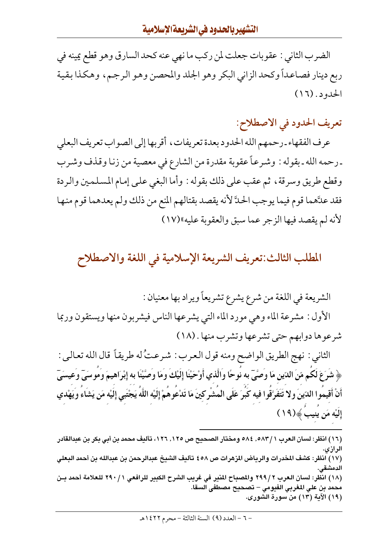الضرب الثاني : عقوبات جعلت لمن ركب ما نهى عنه كحد السارق وهو قطع يمينه في ربع دينار فصاعداً وكحد الزاني البكر وهو الجلد والمحصن وهو الرجم، وهكذا بقية الحدود . (١٦)

تعريف الحدود في الاصطلاح:

عرف الفقهاء ـ رحمهم الله الحدود بعدة تعريفات ، أقربها إلى الصواب تعريف البعلي ـ رحمه الله ـ بقوله : وشـرعـاً عقوبة مقدرة من الشارع في معصية من زنـا وقـذف وشـرب وقطع طريق وسرقة ، ثم عقب على ذلك بقوله : وأما البغي على إمام المسلمين والردة فقد علَّهما قوم فيما يوجب الحدَّ لأنه يقصد بقتالهم المنع من ذلك ولم يعدهما قوم منها لأنه لم يقصد فيها الزجر عما سبق والعقوبة عليه»(١٧)

### المطلب الثالث:تعريف الشريعة الإسلامية في اللغة والاصطلاح

الشريعة في اللغة من شرع يشرع تشريعاً ويراد بها معنيان : الأول : مشرعة الماء وهي مورد الماء التي يشرعها الناس فيشربون منها ويستقون وربما شرعوها دوابهم حتى تشرعها وتشرب منها . (١٨)

الثاني : نهج الطريق الواضح ومنه قول العرب : شرعتُ له طريقاً قال الله تعالى : ﴿ شَرَعَ لَكُم مّنَ الدّينِ مَا وَصَّىٓ به نُوحًا واَلَّذي أَوْحَيْنَا إِلَيْكَ وَمَا وَصَّيْنَا به إِبْرَاهيمَ وموسَىٓ وَعيسَىٓ أَنْ أَقيموا الدّينَ ولا تَتَفَرَّقُوا فيه كَبَرَ عَلَى المَشْرِكينَ مَا تَدْعُوهُمْ إِلَيْه اللَّهُ يَجْتَبي إِلَيْه مَن يَشَاءَ وَيَهْدي إِلَيْهِ مَن يَنِيبَ ﴾ (١٩)

<sup>(</sup>١٦) انظر : لسان العرب ٥٨٣/١ .0٨٣ ومختار الصحيح ص ١٢٥. ١٢٦، تأليف محمد بن أبي بكر بن عبدالقادر الرازي. (١٧) انظر: كشف المخدرات والرياض المزهرات ص ٤٥٨ تأليف الشيخ عبدالرحمن بن عبدالله بن أحمد البعلي الدمشقى. (١٨) انظر: لسان العرب ٢ /٢٩٩ والمصباح المنير في غريب الشرح الكبير للرافعي ١ /٢٩٠ للعلامة أحمد بـن محمد بن على المغربي الفيومي – تصحيح مصطفى السقا. (١٩) الآية (١٣) من سورة الشورى.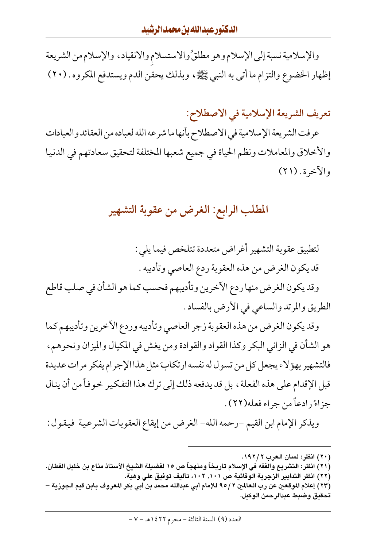والإسلامية نسبة إلى الإسلام وهو مطلقُ والاستسلام والانقياد، والإسلام من الشريعة إظهار الخضوع والتزام ما أتبي به النبي ﷺ، وبذلك يحقن الدم ويستدفع المكروه . (٢٠)

تعريف الشريعة الإسلامية في الاصطلاح:

عرفت الشريعة الإسلامية في الاصطلاح بأنها ما شرعه الله لعباده من العقائد والعبادات والأخلاق والمعاملات ونظم الحياة في جميع شعبها المختلفة لتحقيق سعادتهم في الدنيا والآخرة . (٢١)

### المطلب الرابع: الغرض من عقوبة التشهير

لتطبيق عقوبة التشهير أغراض متعددة تتلخص فيما يلي : قد يكون الغرض من هذه العقوبة ردع العاصي وتأديبه .

وقد يكون الغرض منها ردع الآخرين وتأديبهم فحسب كما هو الشأن في صلب قاطع الطريق والمرتد والساعي في الأرض بالفساد .

وقد يكون الغرض من هذه العقوبة زجر العاصي وتأديبه وردع الأخرين وتأديبهم كما هو الشأن في الزاني البكر وكذا القواد والقوادة ومن يغش في المكيال والميزان ونحوهم، فالتشهير بهؤلاء يجعل كل من تسول له نفسه ارتكابَ مثل هذا الإجرام يفكر مرات عديدة قبل الإقدام على هذه الفعلة ، بل قد يدفعه ذلك إلى ترك هذا التفكير خوفاً من أن ينال جزاءً رادعاً من جراء فعله(٢٢) .

ويذكر الإمام ابن القيم –رحمه الله– الغرض من إيقاع العقوبات الشرعية فيقول :

(٢٢) انظر التدابير الزجرية الوقائية ص ١٠١, ١٠٢، تأليف توفيق على وهبة.

<sup>(</sup>٢٠) انظر: لسان العرب ١٩٢/٢.

<sup>(</sup>٢١) انظر: التشريع والفقه في الإسلام تاريخاً ومنهجاً ص ١٥ لفضيلة الشيخ الأستاذ مناع بن خليل القطان.

<sup>(</sup>٢٣) إعلام الموقعين عن رب العالمين ٢ / ٩٥ للإمام أبي عبدالله محمد بن أبي بكر المعروف بابن قيم الجوزية – تحقيق وضبط عبدالرحمن الوكيل.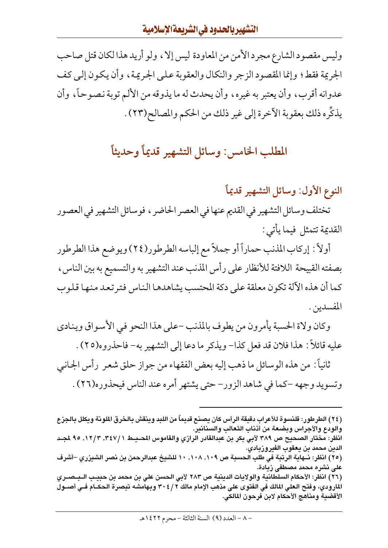وليس مقصود الشارع مجرد الأمن من المعاودة ليس إلا ، ولو أريد هذا لكان قتل صاحب الجريمة فقط؛ وإنما المقصود الزجر والنكال والعقوبة على الجريمة ، وأن يكون إلى كف عدوانه أقرب، وأن يعتبر به غيره، وأن يحدث له ما يذوقه من الألم توبة نصوحاً، وأن يذكِّره ذلك بعقوبة الآخرة إلى غير ذلك من الحكم والمصالح(٢٣) .

### المطلب الخامس: وسائل التشهير قديماً وحديثاً

النوع الأول: وسائل التشهير قديماً

تختلف وسائل التشهير في القديم عنها في العصر الحاضر ، فوسائل التشهير في العصور القديمة تتمثل فيما يأتي :

أولاً : إركاب المذنب حماراً أو جملاً مع إلباسه الطرطور(٢٤) ويوضع هذا الطرطور بصفته القبيحة اللافتة للأنظار على رأس المذنب عند التشهير به والتسميع به بين الناس، كما أن هذه الآلة تكون معلقة على دكة المحتسب يشاهدها الناس فتر تعد منها قلوب المفسدين .

وكان ولاة الحسبة يأمرون من يطوف بالمذنب –على هذا النحو في الأسواق وينادي عليه قائلاً : هذا فلان قد فعل كذا– ويذكر ما دعا إلى التشهير به– فاحذروه(٢٥) .

ثانياً : من هذه الوسائل ما ذهب إليه بعض الفقهاء من جواز حلق شعر ۖ رأس الجـانبي وتسويد وجهه –كما في شاهد الزور– حتى يشتهر أمره عند الناس فيحذوره(٢٦) .

الدين محمد بن يعقوب الفيروزبادي. (٢٥) انظر: نــهاية الرتبة في طلب الحسبة ص ١٠٩, ١٠٨, ١٠ للشيخ عبدالرحمن بن نصر الشيزري –أشرف على نشره محمد مصطفى زيادة.

(٢٦) انظر: الأحكام السلطانية والولايات الدينية ص ٢٨٣ لأبي الحسن علي بن محمد بن حبيـب الـبـصـري المارودي، وفتح العلي المالك في الفتوى على مذهب الإمام مالك ٢٠٤/٢ وبهامشه تبصرة الحكــام فــي أصــول الأقضية ومناهج الأحكام لابن فرحون المالكي.

<sup>(</sup>٢٤) الطرطور: قلنسوة للأعراب دقيقة الرأس كان يصنع قديماً من اللبد وينقش بالخرق الملونة ويكلل بالجزع والودع والأجراس وبضعة من أذناب الثعالب والسنانير. انظر: مختار الصحيح ص ٣٨٩ لأبي بكر بن عبدالقادر الرازي والقاموس المحـيـط ١٢٤٧/ ٣,٢٧/ ٩٥ لجـد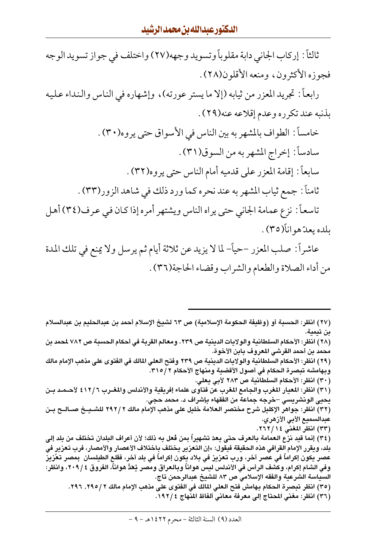ثالثاً : إركاب الجاني دابة مقلوباً وتسويد وجهه(٢٧) واختلف في جواز تسويد الوجه فجوزه الأكثرون، ومنعه الأقلون(٢٨).

رابعاً : تجريد المعزر من ثيابه (إلا ما يستر عورته)، وإشهاره في الناس والنداء عليه بذنبه عند تكرره وعدم إقلاعه عنه(٢٩).

> خامساً : الطواف بالمشهر به بين الناس في الأسواق حتى يروه(٣٠) . سادساً : إخراج المشهر به من السوق(٣١) . سابعاً: إقامة المعزر على قدميه أمام الناس حتى يروه(٣٢) . ثامناً : جمع ثياب المشهر به عند نحره كما ورد ذلك في شاهد الزور(٣٣) .

تاسعاً: نزع عمامة الجانبي حتى يراه الناس ويشتهر أمره إذا كان في عرف(٣٤) أهل بلده يعدّ هو انأ(٣٥) .

عاشراً : صلب المعزر –حياً– لما لا يزيد عن ثلاثة أيام ثم يرسل ولا يمنع في تلك المدة من أداء الصلاة والطعام والشراب وقضاء الحاجة(٣٦) .

(٢٨ ) انظر : الأحكام السلطانية والولايات الدينية ص ٢٣٩ . ومعالم القربة في أحكام الحسبة ص ٧٨٢ لمحمد بن محمد بن أحمد القرشي المعروف بابن الأخوة.

(٢٩) انظر: الأحكام السلطانية والولايات الدينية ص ٢٣٩ وفتح العلي المالك في الفتوى على مذهب الإمام مالك وبهامشه تبصرة الحكام في أصول الأقضية ومنهاج الأحكام ٣١٥/٢.

(٣٠) انظر: الأحكام السلطانية ص ٢٨٣ لأبي يعلي.

(٣١) انظر: المعيار المغرب والجامع المغرب عن فتاوى علماء إفريقية والأندلس والمغــرب ٤١٢/٦ لأحــمــد بــن يحيى الونشريسي –خرجه جماعة من الفقهاء بإشراف د. محمد حجي.

(٣٢) انظر: جواهر الإكليل شرح مختصر العلامة خليل على مذهب الإمام مالك ٢ /٢٩٢ للشـيــخ صــالــح بــن عبدالسميع الأبي الأزهري.

(٣٣) انظر المغنى ١٤/ ٢٦٢.

(٣٤) إنما قيد نزع العمامة بالعرف حتى يعدّ تشهيراً بمن فعل به ذلك؛ لأن أعراف البلدان تختلف من بلد إلى بلد، ويقرر الإمام القرافي هذه الحقيقة فيقول: »إن التعزير يختلف باختلاف الأعصار والأمصار، فرب تعزير في عصر يكون إكراماً في عصر آخر، ورب تعزيز في بلاد يكون إكراماً في بلد آخر، فقلع الطيلسان بمصر تعَزيز وفي الشام إكرام، وكشف الرأس في الأندلس ليس هواناً وبالعراق ومصر يُعَدُّ هواناً، الفروق ٢٠٩/٤، وانظر: السياسة الشرعية والفقه الإسلامي ص ٨٣ للشيخ عبدالرحمن تاج.

- (٣٥) انظر تبصرة الحكام بهامش فتح العلي المالك في الفتوى علي مذهب الإمام مالك ٢ /٢٩٥, ٢٩٦.
	- (٣٦) انظر: مغني المحتاج إلى معرفة معاني ألفاظ المنهاج ١٩٢/٤.

<sup>(</sup>٢٧) انظر: الحسبة أو (وظيفة الحكومة الإسلامية) ص ٦٣ لشيخ الإسلام أحمد بن عبدالحليم بن عبدالسلام بن تيمية.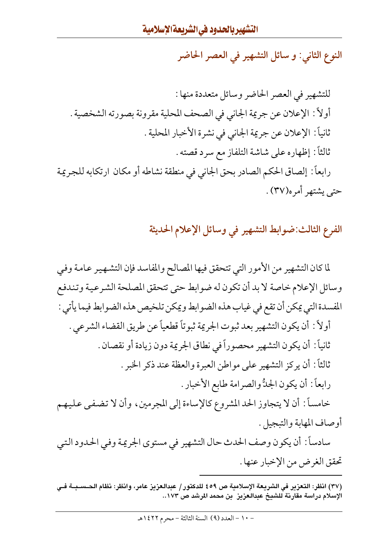النوع الثاني: و سائل التشهير في العصر الحاضر

الفرع الثالث:ضوابط التشهير في وسائل الإعلام الحديثة

لما كان التشهير من الأمور التي تتحقق فيها المصالح والمفاسد فإن التشهير عامة وفي وسائل الإعلام خاصة لا بد أن تكون له ضوابط حتى تتحقق المصلحة الشرعية وتندفع المفسدة التي يمكن أن تقع في غياب هذه الضوابط ويمكن تلخيص هذه الضوابط فيما يأتي : أولاً : أن يكون التشهير بعد ثبوت الجريمة ثبوتاً قطعياً عن طريق القضاء الشرعي . ثانياً: أن يكون التشهير محصوراً في نطاق الجريمة دون زيادة أو نقصان . ثالثاً: أن يركز التشهير على مواطن العبرة والعظة عند ذكر الخبر . رابعاً: أن يكون الجدُّ والصرامة طابع الأخبار . خامساً: أن لا يتجاوز الحد المشروع كالإساءة إلى المجرمين، وأن لا تضفي عليهم أوصاف المهابة والتبجيل .

سادساً : أن يكون وصف الحدث حال التشهير في مستوى الجريمة وفي الحدود التبي تحقق الغرض من الإخبار عنها .

<sup>(</sup>٣٧) انظر: التعزير في الشريعة الإسلامية ص ٤٥٩ للدكتور / عبدالعزيز عامر، وانظر: نظام الحــسـبــة فــي الإسلام دراسة مقارنة للشيخ عبدالعزيز بن محمد المرشد ص ١٧٣...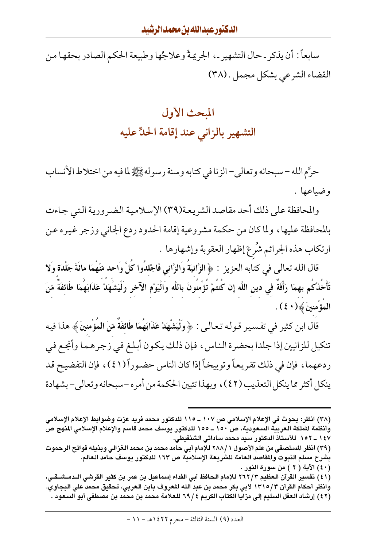سابعاً : أن يذكر ـ حال التشهير ـ، الجريمةُ وعلاجُها وطبيعة الحكم الصادر بحقها من القضاء الشرعي بشكل مجمل . (٣٨)

## المحث الأول التشهير بالزانى عند إقامة الحلِّ عليه

حرَّم الله – سبحانه وتعالى– الزنا في كتابه وسنة رسوله ﷺ لما فيه من اختلاط الأنساب وضياعها .

والمحافظة على ذلك أحد مقاصد الشريعة(٣٩) الإسلامية الضرورية التبي جاءت بالمحافظة عليها، ولما كان من حكمة مشروعية إقامة الحدود ردع الجاني وزجر غيره عن ارتكاب هذه الجرائم شُرعَ إظهار العقوبة وإشهارها .

قال الله تعالى في كتابه العزيز : ﴿الزَّانِيَةُ وَالزَّاني فَاجْلدُوا كُلَّ وَاحد مّنْهُمَا مائَةَ جَلْدَة وَلا تَأْخُذْكُم بهمَا رَأَفَةٌ في دين اللَّه إِن كُنتُمْ تُؤْمنُونَ باللَّه وَالْيَوْم الآخر وَلْيَشْهَدْ عَذَابَهُمَا طَائفَةٌ مّنَ المؤْمنينَ ﴾ (٤٠) .

قال ابن كثير في تفسير قوله تعالى: ﴿ وَلْيَشْهَدْ عَذَابَهُمَا طَائِفَةٌ مّنَ الْمُؤْمِنينَ﴾ هذا فيه تنكيل للزانيين إذا جلدا بحضرة الناس، فإن ذلك يكون أبلغ في زجرهما وأنجع في ردعهما، فإن في ذلك تقريعاً وتوبيخاً إذا كان الناس حضوراً (٤١)، فإن التفضيح قد ينكل أكثر مما ينكل التعذيب (٤٢)، وبهذا تتبين الحكمة من أمر ه –سبحانه وتعالى–بشهادة

(٤٠) الآية ( ٢ ) من سورة النور .

(٤١) تفسير القرآن العظيم ٢٦٢/٣ للإمام الحافظ أبي الفداء إسماعيل بن عمر بن كثير القرشي الــدمـشــقـي، وانظر أحكام القرآن ١٣١٥/٣ لأبي بكر محمد بن عبد الله المعروف بابن العربي، تحقيق محمد علي البجاوي. (٤٢) إرشاد العقل السليم إلى مزايا الكتاب الكريم ٢٩/٤ للعلامة محمد بن محمد بن مصطفى أبو السعود .

<sup>(</sup>٣٨) انظر: بحوث في الإعلام الإسلامي ص ١٠٧ ــ ١١٥ للدكتور محمد فريد عزت وضوابط الإعلام الإسلامي وأنظمة الملكة العربية السعودية، ص ١٥٠ ــ ١٥٥ للدكتور يوسف محمد قاسم والإعلام الإسلامي المنهج ص ١٤٧ ــ ١٥٢ للأستاذ الدكتور سيد محمد ساداتي الشنقيطي.

<sup>(</sup>٣٩) انظر المستصفى من علم الأصول ١ /٢٨٨ للإمام أبي حامد محمد بن محمد الغزالي وبذيله فواتح الرحموت بشرح مسلم الثبوت والمقاصد العامة للشريعة الإسلامية ص ١٦٣ للدكتور يوسف حامد العالم.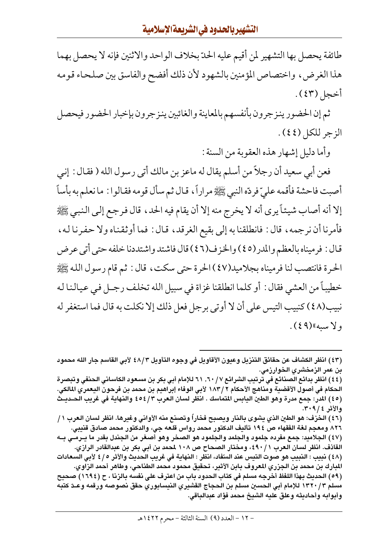طائفة يحصل بها التشهير لمن أقيم عليه الحدّ بخلاف الواحد والاثنين فإنه لا يحصل بهما هذا الغرض، واختصاص المؤمنين بالشهود لأن ذلك أفضح والفاسق بين صلحاء قومه أخجل (٤٣) .

ثم إن الحضور ينزجرون بأنفسهم بالمعاينة والغائبين ينزجرون بإخبار الحضور فيحصل الزجر للكل (٤٤).

وأما دليل إشهار هذه العقوبة من السنة :

فعن أبي سعيد أن رجلاً من أسلم يقال له ماعز بن مالك أتي رسول الله ( فقال : إني أصبت فاحشة فأقمه علىّ فردّه النبي ﷺ مراراً، قـال ثم سأل قومه فقـالوا : ما نعلم به بأساً إلا أنه أصاب شيئاً يرى أنه لا يخرج منه إلا أن يقام فيه الحد ، قال فرجع إلىي النبي ﷺ فأمرنا أن نرجمه، قال : فانطلقنا به إلى بقيع الغرقد، قـال : فما أوثقناه ولا حفرنا لـه، قال : فرميناه بالعظم والمدر(٤٥) والخزف(٤٦) قال فاشتد واشتددنا خلفه حتى أتى عرض الحرة فانتصب لنا فرميناه بجلاميد(٤٧) الحرة حتى سكت، قال : ثم قام رسول الله ﷺ خطيباً من العشي فقال : أو كلما انطلقنا غزاة في سبيل الله تخلف رجـل في عيـالـنا لـه نبيب(٤٨) كنبيب التيس على أن لا أوتى برجل فعل ذلك إلا نكلت به قال فما استغفر له ولا سبه»(٤٩).

(٤٦) الخزف: هو الطين الذي يشوى بالنار ويصبح فخاراً وتصنع منه الأواني وغيرها. انظر لسان العرب ١ / ٨٢٦ ومعجم لغة الفقهاء ص ١٩٤ تأليف الدكتور محمد رواس قلعه جي، والدكتور محمد صادق قنيبي.

(٤٨) نبيب : النبيب هو صوت التيس عند السِّفاد، انظر : النهاية في غريب الحديث والأثر ٥ / ٤ لأبي السعادات المبارك بن محمد بن الجزري المعروف بابن الأثير، تحقيق محمود محمد الطناحي، وطاهر أحمد الزاوي.

(٥٩) الحديث بهذا اللفظ أخرجه مسلم في كتاب الحدود باب من اعترف على نفسه بالزنا ، ح (١٦٩٤) صحيح مسلم ١٣٢٠/٣ للإمام أبي الحسين مسلم بن الحجاج القشيري النيسابوري حقق نصوصه ورقمه وعـدّ كتبه وأبوابه وأحاديثه وعلق عليه الشيخ محمد فؤاد عبدالباقي.

<sup>(</sup>٤٣) انظر الكشاف عن حقائق التنزيل وعيون الأقاويل في وجوه التأويل ٤٨/٣ لأبي القاسم جار الله محمود بن عمر الزمخشري الخوارزمي.

<sup>(</sup>٤٤) انظر بدائع الصنائع في ترتيب الشرائع ٦٠/٧, ٦١ للإمام أبي بكر بن مسعود الكاساني الحنفي وتبصرة الحكام في أصول الأقضية ومناهج الأحكام ٢ / ١٨٣ لأبي الوفاء إبراهيم بن محمد بن فرحون اليعمري المالكي. (٤٥) المدر: جمع مدرة وهو الطين اليابس المتماسك . انظر لسان العرب ٤٥٤/٣ والنهاية في غريب الحـديـث والأثر ٢٠٩/٤.

<sup>(</sup>٤٧) الجلاميد: جمع مفرده جلمود والجلمد والجلمود هو الصخر وهو أصغر من الجندل بقدر ما يـرمـى بـه القاذف. انظر لسان العرب ٤٩٠/١، ومختار الصحاح ص ١٠٨ لمحمد بن أبي بكر بن عبدالقادر الرازي.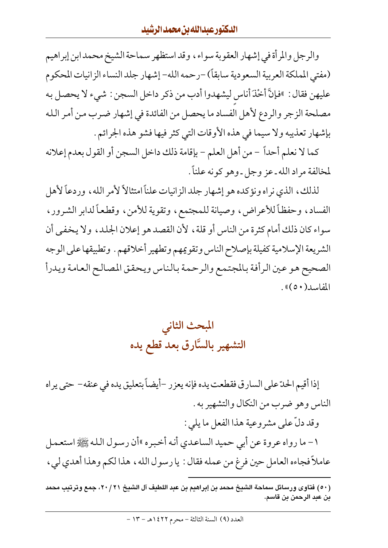والرجل والمرأة في إشهار العقوبة سواء، وقد استظهر سماحة الشيخ محمد ابن إبراهيم (مفتى المملكة العربية السعودية سابقاً) –رحمه الله– إشهار جلد النساء الزانيات المحكوم عليهن فقال : »فإنَّ أخْذَ أناس ليشهدوا أدب من ذكر داخل السجن : شيء لا يحصل به مصلحة الزجر والردع لأهل الفساد ما يحصل من الفائدة في إشهار ضرب من أمر الله بإشهار تعذيبه ولا سيما في هذه الأوقات التي كثر فيها فشو هذه الجرائم .

كما لا نعلم أحداً – من أهل العلم – بإقامة ذلك داخل السجن أو القول بعدم إعلانه لمخالفة مراد الله ـ عز وجل ـ وهو كونه علناً .

لذلك، الذي نراه ونؤكده هو إشهار جلد الزانيات علناً امتثالاً لأمر الله، وردعاً لأهل الفساد، وحفظاً للأعراض، وصيانة للمجتمع، وتقوية للأمن، وقطعاً لدابر الشرور، سواء كان ذلك أمام كثرة من الناس أو قلة ، لأن القصد هو إعلان الجلد ، ولا يخفي أن الشريعة الإسلامية كفيلة بإصلاح الناس وتقويمهم وتطهير أخلاقهم . وتطبيقها على الوجه الصحيح هو عين الرأفة بالمجتمع والرحمة بالناس ويحقق المصالح العامة ويدرأ المفاسد (٥٠)».

المبحث الثانى التشهير بالسَّارق بعد قطع يده

إذا أقيم الحدّ على السارق فقطعت يده فإنه يعزر –أيضاً بتعليق يده في عنقه– حتى يراه الناس وهو ضرب من النكال والتشهير به . وقد دلّ على مشروعية هذا الفعل ما يلي : ١- ما رواه عروة عن أبي حميد الساعدي أنه أخبره »أن رسول الله ﷺ استعمل عاملاً فجاءه العامل حين فرغ من عمله فقال : يا رسول الله ، هذا لكم وهذا أهدى لي ،

<sup>(</sup>٥٠) فتاوى ورسائل سماحة الشيخ محمد بن إبراهيم بن عبد اللطيف آل الشيخ ٢٠/٢١، جمع وترتيب محمد بن عبد الرحمن بن قاسم.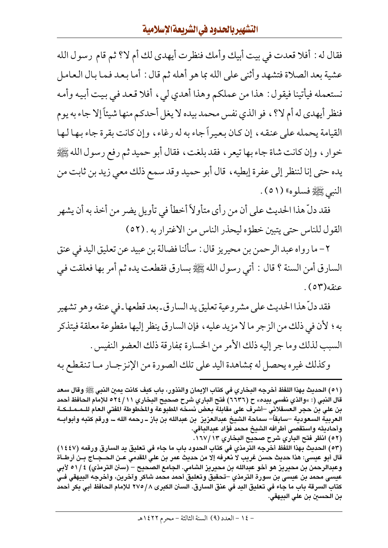فقال له : أفلا قعدت في بيت أبيك وأمك فنظرت أيهدي لك أم لا؟ ثم قام رسول الله عشية بعد الصلاة فتشهد وأثنى على الله بما هو أهله ثم قال : أما بعد فما بال العامل نستعمله فيأتينا فيقول : هذا من عملكم وهذا أهدي ليي ، أفلا قعد في بيت أبيه وأمه فنظر أيهدي له أم لا؟ ، فو الذي نفس محمد بيده لا يغل أحدكم منها شيئاً إلا جاء به يوم القيامة يحمله على عنقه، إن كان بعيراً جاء به له رغاء، وإن كانت بقرة جاء بها لها خوار ، وإن كانت شاة جاء بها تيعر ، فقد بلغت ، فقال أبو حميد ثم رفع رسول الله ﷺ يده حتى إنا لننظر إلى عفرة إبطيه ، قال أبو حميد وقد سمع ذلك معي زيد بن ثابت من النبي ﷺ فسلوه» (٥١).

فقد دلِّ هذا الحديث على أن من رأى متأولاً أخطأ في تأويل يضر من أخذ به أن يشهر القول للناس حتى يتبين خطؤه ليحذر الناس من الاغترار به . (٥٢)

٢ – ما رواه عبد الرحمن بن محيريز قال : سألنا فضالة بن عبيد عن تعليق اليد في عنق السارق أمن السنة ؟ قال : أتى رسول الله ﷺ بسارق فقطعت يده ثم أمر بها فعلقت في عنقه(٥٣).

فقد دلِّ هذا الحديث على مشروعية تعليق يد السارق ـ بعد قطعها ـ في عنقه وهو تشهير به؛ لأن في ذلك من الزجر ما لا مزيد عليه ، فإن السارق ينظر إليها مقطوعة معلقة فيتذكر السبب لذلك وما جر إليه ذلك الأمر من الخسارة بمفارقة ذلك العضو النفيس .

وكذلك غيره يحصل له بمشاهدة اليد على تلك الصورة من الإنزجـار مـا تنقطع به

(٥١) الحديث بهذا اللفظ أخرجه البخاري في كتاب الإيمان والنذور، باب كيف كانت يمين النبي ﷺ وقال سعد قال النبي (: »والذي نفسي بيده» ح (٦٦٣٦) فتح الباري شرح صحيح البخاري ٢٤/١١ للإمام الحافظ أحمد بن على بن حجر العسقلاني –أشرف على مقابلة بعض نسخه المطبوعة والمخطوطة المفتى العام للـمـمـلـكـة العربية السعودية –سابقاً– سماحة الشيخ عبدالعزيز بن عبدالله بن باز ــ رحمه الله ــ، ورقم كتبه وأبوابــه وأحاديثه واستقصى أطرافه الشيخ محمد فؤاد عبدالباقى. (٥٢) انظر فتح الباري شرح صحيح البخاري ١٣/١٧/ ١.

(٥٣) الحديث بهذا اللفظ أخرجه الترمذي في كتاب الحدود باب ما جاء في تعليق يد السارق ورقمه (١٤٤٧) قال أبو عيسى: هذا حديث حسن غريب لا نعرفه إلا من حديث عمر بن على المقدمي عـن الـحــجــاج بــن أرطــأة وعبدالرحمن بن محيريز هو أخو عبدالله بن محيريز الشامي. الجامع الصحيح – (سنن الترمذي) ١/٤٩ لأبي عيسى محمد بن عيسى بن سورة الترمذي –تحقيق وتعليق أحمد محمد شاكر وآخرين، وأخرجه البيهقي فـي كتاب السرقة باب ما جاء في تعليق اليد في عنق السارق. السنن الكبرى ٨ / ٢٧٥ للإمام الحافظ أبي بكر أحمد بن الحسين بن علي البيهقي.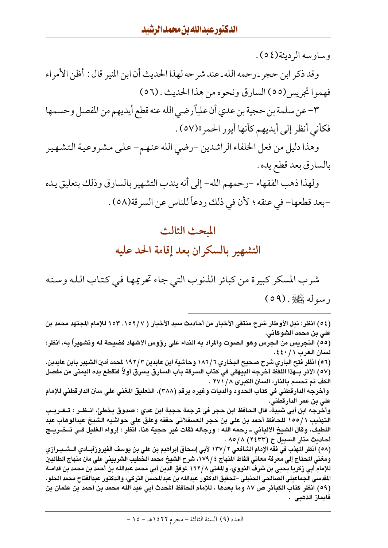#### وساوسه الرديئة(٥٤).

قايماز الذهبي .

وقد ذكر ابن حجر ـ رحمه الله ـ عند شرحه لهذا الحديث أن ابن المنير قال : أظن الأمر اء فهموا تجريس(٥٥) السارق ونحوه من هذا الحديث . (٥٦)

٣- عن سلمة بن حجية بن عدى أن علياً رضي الله عنه قطع أيديهم من المفصل وحسمها فكأني أنظر إلى أيديهم كأنها أيور الحمر»(٥٧) .

وهذا دليل من فعل الخلفاء الراشدين –رضي الله عنهم– علىي مشروعية التشهير بالسارق بعد قطع يده .

ولهذا ذهب الفقهاء –رحمهم الله– إلى أنه يندب التشهير بالسارق وذلك بتعليق يده -بعد قطعها- في عنقه ؛ لأن في ذلك ردعاً للناس عن السرقة(٥٨) .

#### المحث الثالث

### التشهير بالسكران بعد إقامة الحد عليه

شرب المسكر كبيرة من كبائر الذنوب التي جاء تحريمها في كتاب الله وسنه رسوله ﷺ.(٥٩)

(٥٤) انظر: نيل الأوطار شرح منتقى الأخبار من أحاديث سيد الأخيار ( ١٥٢/٧, ١٥٣ للإمام المجتهد محمد بن على بن محمد الشوكاني. (٥٥) التجريس من الجرس وهو الصوت والمراد به النداء على رؤوس الأشهاد فضيحة له وتشهيراً به، انظر: لسان العرب ١ / ٤٤٠. (٥٦) انظر فتح الباري شرح صحيح البخاري ١٨٦/٦ وحاشية ابن عابدين ١٩٢/٣ لمحمد أمين الشهير بابن عابدين. (٥٧) الأثر بـهذا اللفظ أخرجه البيهقي في كتاب السرقة باب السارق يسرق أولاً فتقطع يده اليمني من مفصل الكف ثم تحسم بالنار، السنن الكبرى ٢٧١ / ٢ وأخرجه الدارقطني في كتاب الحدود والديات وغيره برقم (٣٨٨). التعليق المغني على سنن الدارقطني للإمام على بن عمر الدارقطني. وأخرجه ابن أبي شيبة. قال الحافظ ابن حجر في ترجمة حجية ابن عدي : صدوق يخطئ، انــظـر : تــقــريــب التهذيب ١ /١٥٥ للحافظ أحمد بن علي بن حجر العسقلاني حققه وعلق على حواشيه الشيخ عبدالوهاب عبد اللطيف، وقال الشيخ الألباني ــ رحمه الله : ورجاله ثقات غير حجية هذا، انظر : إرواء الغليل فـي تــخــريــج أحاديث منار السبيل ح (٢٤٣٣) ٨٥/٨ . (٥٨) انظر المهذب في فقه الإمام الشافعي ٢ /١٣٧ لأبي إسحاق إبراهيم بن علي بن يوسف الفيروزآبــادي الــشــيــرازي ومغني المحتاج إلى معرفة معاني ألفاظ النهاج ٤ / ١٧٩، شرح الشيخ محمد الخطيب الشربيني على متن منهاج الطالبين للإمام أبي زكريا يحيى بن شرف النووي، والمغني ١٦٢/٨ لموفق الدين أبي محمد عبدالله بن أحمد بن محمد بن قدامــة المقدسي الجماعيلي الصالحي الحنبلي –تحقيق الدكتور عبدالله بن عبدالمحسن التركي، والدكتور عبدالفتاح محمد الحلو. (٥٩) انظر كتاب الكبائر ص ٨٧ وما بعدها ، للإمام الحافظ المحدث أبي عبد الله محمد بن أحمد بن عثمان بن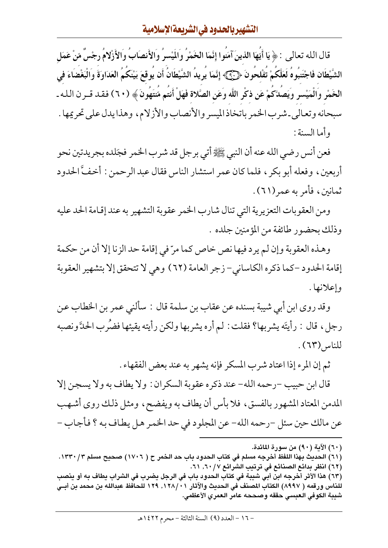قال الله تعالى : ﴿ يَا أَيُّهَا الذينَ آمَنُوا إِنَّمَا الْخَمْرُ وَالَمِيْسِرُ وَالأَنصَابُ وَالأَزْلامُ رجْسٌ مّنْ عَمَل الشَّيْطَان فَاجْتَنبُوهُ لَعَلَّكُمْ تَفْلحُونَ ﴿ ۚ ﴾﴾ إِنَّمَا يُرِيدُ الشَّيْطَانُ أَن يُوقعَ بَيْنكُمُ العَدَاوَةَ وَالْبَغْضَاءَ في الْخَمْرِ وَالْمَيْسرِ وَيَصَلَّكُمْ عَن ذكْرِ اللَّه وَعَنِ الصَّلاة فَهَلْ أَنتُم مَّنتَهُونَ ﴾ ( ٦٠) فقد قــرن الـله ـ سبحانه وتعالى ـ شرب الخمر باتخاذ الميسر والأنصاب والأزلام، وهذا يدل على تحريمها . و أما السنة :

فعن أنس رضيي الله عنه أن النبي ﷺ أتي برجل قد شرب الخمر فجَلده بجريدتين نحو أربعين، وفعله أبو بكر ، فلما كان عمر استشار الناس فقال عبد الرحمن : أخفَّ الحدود ثمانين، فأمر به عمر(٦١).

ومن العقوبات التعزيرية التي تنال شارب الخمر عقوبة التشهير به عند إقامة الحد عليه وذلك بحضور طائفة من المؤمنين جلده .

وهـذه العقوبة وإن لـم يرد فيها نص خاص كما مرّ في إقامة حد الزنا إلا أن من حكمة إقامة الحدود –كما ذكره الكاساني– زجر العامة (٦٢) وهي لا تتحقق إلا بتشهير العقوبة وإعلانها .

وقد روى ابن أبي شيبة بسنده عن عقاب بن سلمة قال : سألنى عمر بن الخطاب عن رجلِ، قال : رأيتَه يشربها؟ فقلت : لم أره يشربها ولكن رأيته يقيئها فضَرب الحدَّ ونصبه للناس (٦٣).

ثم إن المرء إذا اعتاد شرب المسكر فإنه يشهر به عند بعض الفقهاء .

قال ابن حبيب –رحمه الله– عند ذكره عقوبة السكر ان : ولا يطاف به ولا يسجن إلا المدمن المعتاد المشهور بالفسق، فلا بأس أن يطاف به ويفضح، ومثل ذلك روى أشهب عن مالك حين سئل -رحمه الله- عن المجلود في حد الخمر هل يطاف به ؟ فأجاب -

- (٦٠) الآية (٩٠) من سورة المائدة.
- (٦١) الحديث بهذا اللفظ أخرجه مسلم في كتاب الحدود باب حد الخمر ح ( ١٧٠٦) صحيح مسلم ١٣٣٠/٣. (٦٢) انظر بدائع الصنائع في ترتيب الشرائع ٦٠/٧, ٦٠١. (٦٣) هذا الأثر أخرجه ابن أبي شيبة في كتاب الحدود باب في الرجل يضرب في الشراب يطاف به أو ينصب للناس ورقمه ( ٨٩٩٧) الكتاب المصنف في الحديث والآثار ١٢٨/٠١, ١٢٩ للحافظ عبدالله بن محمد بن أبــي شيبة الكوفي العبسي حققه وصححه عامر العمري الأعظمي.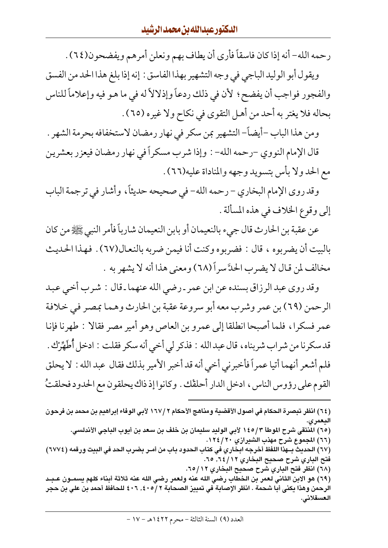رحمه الله- أنه إذا كان فاسقاً فأرى أن يطاف بهم ونعلن أمرهم ويفضحون(٢٤) .

ويقول أبو الوليد الباجي في وجه التشهير بهذا الفاسق : إنه إذا بلغ هذا الحد من الفسق والفجور فواجب أن يفضح ؛ لأن في ذلك ردعاً وإذلالاً له في ما هـو فيه وإعلاماً للناس بحاله فلا يغتر به أحد من أهل التقوى في نكاح ولا غيره (٦٥) .

ومن هذا الباب –أيضاً– التشهير بمن سكر في نهار رمضان لاستخفافه بحرمة الشهر .

قال الإمام النووي –رحمه الله– : وإذا شرب مسكراً في نهار رمضان فيعزر بعشرين مع الحد ولا بأس بتسويد وجهه والمناداة عليه(٦٦).

وقد روى الإمام البخاري – رحمه الله– في صحيحه حديثاً، وأشار في ترجمة الباب إلى وقوع الخلاف في هذه المسألة .

عن عقبة بن الحارث قال جيء بالنعيمان أو بابن النعيمان شارباً فأمر النبي ﷺ من كان بالبيت أن يضربوه ، قال : فضربوه وكنت أنا فيمن ضربه بالنعال(٦٧) . فهذا الحديث مخالف لمن قال لا يضرب الحدَّ سرأ (٦٨) ومعنى هذا أنه لا يشهر به .

وقد روى عبد الرزاق بسنده عن ابن عمر ـ رضي الله عنهما ـ قال : شـرب أخـي عـبد الرحمن (٦٩) بن عمر وشرب معه أبو سروعة عقبة بن الحارث وهما بمصر في خلافة عمر فسكرا، فلما أصبحا انطلقا إلى عمرو بن العاص وهو أمير مصر فقالا : طهرنا فإنا قدسكرنا من شراب شربناه ، قال عبدالله : فذكر لي أخي أنه سكر فقلت : ادخل أَطَهِّرْك . فلم أشعر أنهما أتيا عمراً فأخبرني أخي أنه قد أخبر الأمير بذلك فقال عبد الله : لا يحلق القوم على رؤوس الناس، ادخل الدار أحلقك . وكانوا إذ ذاك يحلقون مع الحدود فحلقتُ

(٦٨) انظر فتح الباري شرح صحيح البخاري ٦٥/١٢. (٦٩) هو الابن الثاني لعمر بن الخطاب رضي الله عنه ولعمر رضي الله عنه ثلاثة أبناء كلهم يسمـون عـبـد الرحمن وهذا يكنى أبا شحمة . انظر الإصابة فى تمييز الصحابة ٢ /٤٠٥ , ٤٠٦ للحافظ أحمد بن علي بن حجر العسقلاني.

<sup>(</sup>٦٤) انظر تبصرة الحكام في أصول الأقضية ومناهج الأحكام ٢ /١٦٧ لأبي الوفاء إبراهيم بن محمد بن فرحون اليعمري.

<sup>(</sup>٦٥) المنتقى شرح الموطأ ١٤٥/٣ لأبي الوليد سليمان بن خلف بن سعد بن أيوب الباجي الأندلسي.

<sup>(</sup>٦٦) المجموع شرح مهذب الشيرازي ٢٠/ ١٢٤.

<sup>(</sup>٦٧) الحديث بـهذا اللفظ أخرجه ابخاري في كتاب الحدود باب من أمـر بضرب الحد في البيت ورقمه (٢٧٧٤) فتح الباري شرح صحيح البخاري ١٢/ ٦٤, ٦٥.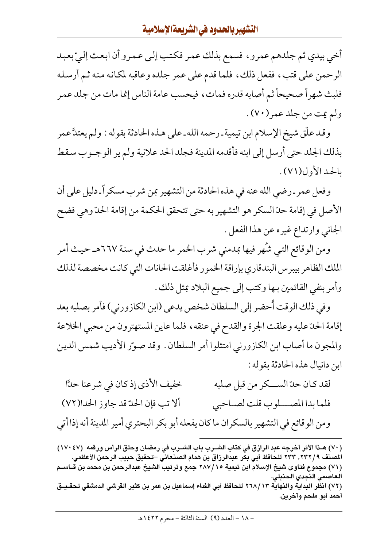أخي بيدي ثم جلدهم عمرو ، فسمع بذلك عمر فكتب إلى عمرو أن ابعث إلىّ بعبد الرحمن على قتب، ففعل ذلك، فلما قدم على عمر جلده وعاقبه لمكانه منه ثم أرسله فلبث شهراً صحيحاً ثم أصابه قدره فمات، فيحسب عامة الناس إنما مات من جلد عمر ولم يت من جلد عمر (٧٠) .

وقـد علَّق شيخ الإسلام ابن تيمية ـرحمه الله ـ على هـذه الحادثة بقوله : ولم يعتدَّ عمر بذلك الجلد حتى أرسل إلى ابنه فأقدمه المدينة فجلد الحد علانية ولم ير الوجـوب سقط بالحد الأول(٧١).

وفعل عمر ـرضي الله عنه في هذه الحادثة من التشهير بمن شرب مسكراً ـ دليل على أن الأصل في إقامة حدّ السكر هو التشهير به حتى تتحقق الحكمة من إقامة الحدّ وهي فضح الجاني وارتداع غيره عن هذا الفعل .

ومن الوقائع التي شُهر فيها بمدمني شرب الخمر ما حدث في سنة ٦٦٧هـ حيث أمر الملك الظاهر بيبرس البندقاري بإراقة الخمور فأغلقت الحانات التي كانت مخصصة لذلك وأمر بنفي القائمين بـها وكتب إلى جميع البلاد بمثل ذلك .

وفي ذلك الوقت أحضر إلى السلطان شخص يدعى (ابن الكازورني) فأمر بصلبه بعد إقامة الحدّ عليه وعلقت الجرة والقدح في عنقه ، فلما عاين المستهترون من محبى الخلاعة والمجون ما أصاب ابن الكازورني امتثلوا أمر السلطان . وقد صوّر الأديب شمس الدين ابن دانيال هذه الحادثة بقوله :

خفيف الأذى إذ كان في شرعنا حدًّا لقد كان حدّ الســكر من قبل صلبه ألاتب فإن الحدّ قد جاوز الحدا(٧٢) فلما بدا المصلوب قلت لصاحبي ومن الوقائع في التشهير بالسكران ما كان يفعله أبو بكر البحتري أمير المدينة أنه إذا أتى

<sup>(</sup>٧٠) هـذا الأثر أخرجه عبد الرازق في كتاب الشـرب باب الشـرب في رمضان وحلق الرأس ورقمه (١٧٠٤٧) المصنف ٢٣٢/ ٢٣٣. ٦٣٣ للحافظ أبي بكر عبدالرزاق بن همام الصنعاني –تحقيق حبيب الرحمن الأعظمي. (٧١) مجموع فتاوى شيخ الإسلام ابن تيمية ٢٨٧/١٥ جمع وترتيب الشيخ عبدالرحمن بن محمد بن قـــاســم العاصمي النجدي الحنبلي. (٧٢) انظر البداية والنهاية ٢٦٨/١٣ للحافظ أبي الفداء إسماعيل بن عمر بن كثير القرشي الدمشقي تحقـيـق أحمد أبو ملحم وآخرين.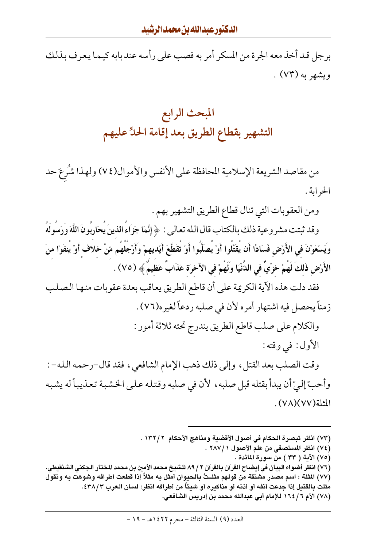برجل قد أخذ معه الجرة من المسكر أمر به فصب على رأسه عند بابه كيما يعرف بذلك ویشهر به (۷۳) .

## المبحث الرابع التشهير بقطاع الطريق بعد إقامة الحدِّ عليهم

من مقاصد الشريعة الإسلامية المحافظة على الأنفس والأموال(٧٤) ولهذا شُرعَ حد الحرابة .

ومن العقوبات التي تنال قطاع الطريق التشهير بهم .

وقد ثبتت مشروعية ذلك بالكتاب قال الله تعالى : ﴿ إِنَّمَا جَزَاءُ الذينَ يُحَارِبُونَ اللَّهَ وَرَسُولَهُ ويَسْعَوْنَ في الأَرْضِ فَسَادًا أَن يُقَتَّلُوا أَوْ يُصَلِّبُوا أَوْ تُقَطَّعَ أَيْديهمْ وَأَرْجُلُهُم مّنْ خلاف أَوْ يُنفَوْا منَ الأَرْضِ ذَلكَ لَهُمْ خرْيٌ في الدُّنْيَا ولَهُمْ في الآخرَة عَذَابٌ عَظيمٌ ﴾ (٧٥) .

فقد دلت هذه الآية الكريمة على أن قاطع الطريق يعاقب بعدة عقوبات منها الصلب زمناً يحصل فيه اشتهار أمره لأن في صلبه ردعاً لغيره(٧٦) .

والكلام على صلب قاطع الطريق يندرج تحته ثلاثة أمور :

الأول: في وقته:

وقت الصلب بعد القتل، وإلى ذلك ذهب الإمام الشافعي، فقد قال-رحمه الله- : وأحبِّ إلىِّ أن يبدأ بقتله قبل صلبه ، لأن في صلبه وقتله على الخشبة تعذيباً له يشبه المثلة (٧٧)(٧٧).

- (٧٣) انظر تبصرة الحكام في أصول الأقضية ومناهج الأحكام ١٣٢/٢ .
	- (٧٤) انظر المستصفى من علم الأصول ١ /٢٨٧ .
		- (٧٥) الآية ( ٣٣ ) من سورة المائدة .
- (٧٦) انظر أضواء البيان في إيضاح القرآن بالقرآن ٢ / ٨٩ للشيخ محمد الأمين بن محمد المختار الجكني الشنقيطي. (٧٧) المثلة : اسم مصدر مشتقة من قولهم مثلـــتُ بالـحيوان أمثل به مثلاً إذا قطعت أطرافه وشوهت به وتقول
	- مثلت بـالقتيل إذا جدعت أنفه أو أذنه أو مذاكيره أو شيئًا من أطرافه انظر: لسان الـعرب ٢٨/٣٤.
		- (٧٨) الأم ١٦٤/٦ للإمام أبي عبدالله محمد بن إدريس الشافعي.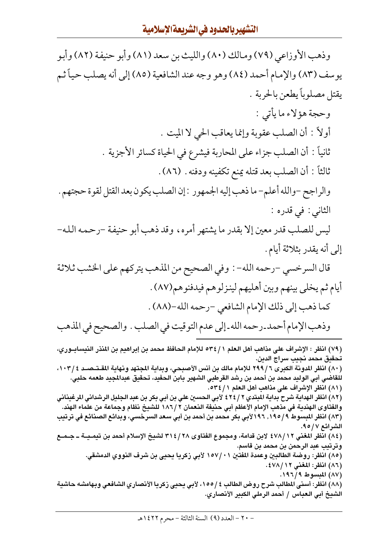وذهب الأوزاعي (٧٩) ومالك (٨٠) والليث بن سعد (٨١) وأبو حنيفة (٨٢) وأبو يوسف (٨٣) والإمام أحمد (٨٤) وهو وجه عند الشافعية (٨٥) إلى أنه يصلب حياً ثـم يقتل مصلوباً يطعن بالحربة . وحجة هؤلاء ما يأتي : أولاً : أن الصلب عقوبة وإنما يعاقب الحي لا الميت . ثانياً : أن الصلب جزاء على المحاربة فيشرع في الحياة كسائر الأجزية . ثالثاً : أن الصلب بعد قتله يمنع تكفينه ودفنه . (٨٦) . والراجح -والله أعلم- ما ذهب إليه الجمهور : إن الصلب يكون بعد القتل لقوة حجتهم . الثاني : في قدره : ليس للصلب قدر معين إلا بقدر ما يشتهر أمره، وقد ذهب أبو حنيفة -رحمه الله-إلى أنه يقدر بثلاثة أيام . قال السرخسي -رحمه الله- : وفي الصحيح من المذهب يتركهم على الخشب ثلاثة أيام ثم يخلي بينهم وبين أهليهم لينزلوهم فيدفنوهم(٨٧) . كما ذهب إلى ذلك الإمام الشافعي -رحمه الله-(٨٨) . وذهب الإمام أحمد ـ رحمه الله ـ إلى عدم التوقيت في الصلب . والصحيح في المذهب (٧٩) انظر : الإشراف على مذاهب أهل العلم ٢٤/١ مالإمام الحافظ محمد بن إبراهيم بن المنذر النيسابــوري، تحقيق محمد نجيب سراج الدين. (٨٠) انظر المدونة الكبرى ٦ / ٢٩٩ للإمام مالك بن أنس الأصبحي، وبداية المجتهد ونهاية المقـتـصــد ١٠٣/٤، للقاضي أبي الوليد محمد بن أحمد بن رشد القرطبي الشهير بابن الحفيد، تحقيق عبدالمجيد طعمه حلبي. (٨١) انظر الإشراف على مذاهب أهل العلم ٢ / ٥٣٤. (٨٢) انظر الهداية شرح بداية المبتدي ٢ / ٤٢٤ لأبي الحسين علي بن أبي بكر بن عبد الجليل الرشداني المرغيناني والفتاوى الهندية في مذهب الإمام الأعظم أبي حنيفة النعمان ٢ /١٨٦ للشيخ نظام وجماعة من علماء الهند. (٨٣) انظر المبسوط ١٩٥/٩, ١٩٦لأبي بكر محمد بن أحمد بن أبي سعد السرخسي، وبدائع الصنائع في ترتيب الشرائع ٩٥/٥٩. (٨٤) انظر المغني ٤٧٨/١٢ لابن قدامة، ومجموع الفتاوى ٣١٤/٢٨ لشيخ الإسلام أحمد بن تيمـيــة ــ جــمــع وترتيب عبد الرحمن بن محمد بن قاسم. (٨٥) انظر: روضة الطالبين وعمدة المفتين ١٥٧/٠١ لأبي زكريا يحيي بن شرف النووي الدمشقي. (٨٦) انظر: المغنى ١٢/ ٤٧٨. (٨٧) المبسوط ١٩٦/٩. (٨٨) انظر: أسنى المطالب شرح روض الطالب ٤ /١٥٥، لأبي يحيى زكريا الأنصاري الشافعي وبهامشه حاشية الشيخ أبي العباس / أحمد الرملي الكبير الأنصاري.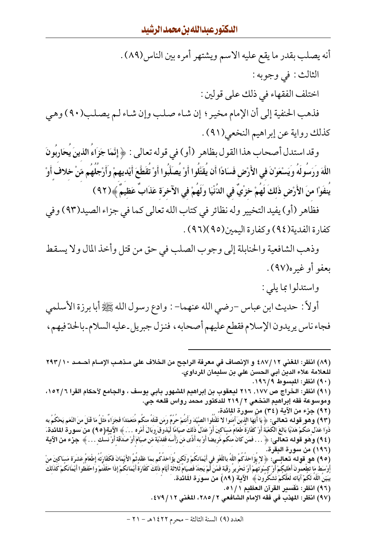أنه يصلب بقدر ما يقع عليه الاسم ويشتهر أمره بين الناس(٨٩) . الثالث: في وجوبه: اختلف الفقهاء في ذلك على قولين : فذهب الحنفية إلى أن الإمام مخير ؛ إن شاء صلب وإن شاء لـم يصلب(٩٠) وهي كذلك رواية عن إبراهيم النخعي(٩١).

وقد استدل أصحاب هذا القول بظاهر (أو) في قوله تعالى : ﴿ إِنَّمَا جَزَاءُ الذينَ يُحَارِبُونَ اللَّهَ وَرَسُولَهُ ويَسْعَوْنَ في الأَرْضِ فَسَادًا أَن يُقَتَّلُوا أَوْ يُصَلِّبُوا أَوْ تُقَطَّعَ أَيْديهمْ وأَرْجُلُهُم مّنْ خلاف أَوْ يُنفَوْا منَ الأَرْضِ ذَلكَ لَهُمْ خزْيٌ في الدُّنْيَا ولَهُمْ في الآخرَة عَذَابٌ عَظيمٌ ﴾(٩٢)

فظاهر (أو) يفيد التخيير وله نظائر في كتاب الله تعالى كما في جزاء الصيد(٩٣) وفي كفارة الفدية(٩٤) وكفارة اليمين(٩٥)(٩٦) .

وذهب الشافعية والحنابلة إلى وجوب الصلب في حق من قتل وأخذ المال ولا يسقط ىعفو أوغيره(٩٧).

واستدلوا بما يلي :

أولاً : حديث ابن عباس –رضي الله عنهما– : وادع رسول الله ﷺ أبا برزة الأسلمي فجاء ناس يريدون الإسلام فقطع عليهم أصحابه ، فنزل جبريل ـ عليه السلام ـ بالحدّ فيهم ،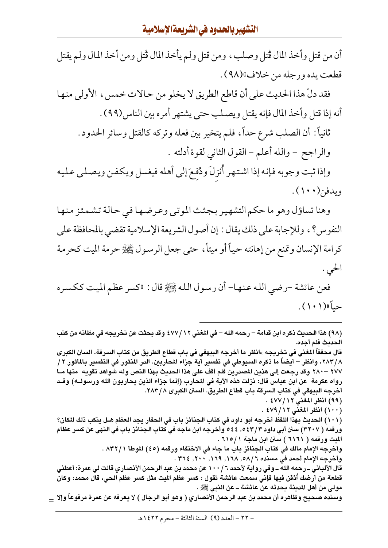أن من قتل وأخذ المال قُتل وصلب ، ومن قتل ولم يأخذ المال قُتل ومن أخذ المال ولم يقتل قطعت يده ورجله من خلاف»(٩٨).

فقد دلِّ هذا الحديث على أن قاطع الطريق لا يخلو من حـالات خمس ، الأولى منهـا أنه إذا قتل وأخذ المال فإنه يقتل ويصلب حتى يشتهر أمره بين الناس(٩٩) .

ثانياً : أن الصلب شرع حداً، فلم يتخير بين فعله وتركه كالقتل وسائر الحدود . والراجح - والله أعلم - القول الثاني لقوة أدلته .

وإذا ثبت وجوبه فإنه إذا اشتهر أُنزلَ ودُفعَ إلى أهله فيغسل ويكفن ويصلى عليه ويدفن(١٠٠).

وهنا تساؤل وهو ما حكم التشهير بجثث الموتبي وعرضها في حالة تشمئز منها النفوس؟ ، وللإجابة على ذلك يقال : إن أصول الشريعة الإسلامية تقضى بالمحافظة على كرامة الإنسان وتمنع من إهانته حياً أو ميتاً، حتى جعل الرسول ﷺ حرمة الميت كحرمة الحى .

فعن عائشة -رضي الله عنها- أن رسول الله ﷺ قال : "كسر عظم الميت ككسره حياً»(١٠١).

(٩٨) هذا الحديث ذكره ابن قدامة – رحمه الله – في المغنى ١٢/ ٤٧٧ وقد بحثت عن تخريجه في مظانه من كتب الحدىث فلم أجده.

قال محققاً المغنى في تخريجه »انظر ما أخرجه البيهقي في باب قطاع الطريق من كتاب السرقة. السنن الكبرى ٢٨٣/٨، وانظر – أيضاً ما ذكره السيوطي في تفسير آية جزاء المحاربين. الدر المنثور في التفسير بالمأثور ٢ / ٢٧٧ –٢٨٠ وقد رجعت إلى هذين المصدرين فلم أقف على هذا الحديث بهذا النص وله شواهد تقويه منها مــا رواه عكرمة عن ابن عباس قال: نزلت هذه الآية في المحارب (إنما جزاء الذين يحاربون الله ورسولــه) وقـد أخرجه البيهقي في كتاب السرقة باب قطاع الطريق. السنن الكبرى ٢٨٣/٨. (٩٩) انظر المغنى ١٢/ ٤٧٧ .

(١٠١) الحديث بهذا اللفظ أخرجه أبو داود في كتاب الجنائز باب في الحفار يجد العظم هـل ينكب ذلك المكان؟ ورقمه ( ٣٢٠٧) سنن أبي داود ٥٤٣/٣، ٥٤٤ وأخرجه ابن ماجه في كتاب الجنائز باب في النهي عن كسر عظام لليت ورقمه ( ٦١٦١ ) سنن ابن ماجة ٦١٥/١ . وأخرجه الإمام مالك في كتاب الجنائز باب ما جاء في الاختفاء ورقمه (٤٥) الموطأ ٨٣٢/١. .

وأخرجه الإمام أحمد في مسنده ٦ /٥٨, ١٦٨, ١٦٩, ٢٠٠, ٢٠٤, ٣٦٤.

(١٠٠) انظر المغنى ١٢/ ٤٧٩ .

قال الألباني ــ رحمه الله ــ وفي رواية لأحمد ١٠٠ / ١٠٠ عن محمد بن عبد الرحمن الأنصاري قالت لي عمرة: أعطني قطعة من أرضك أدْفَن فيها فإنى سمعت عائشة تقول : كسر عظم الميت مثل كسر عظم الحي، قال محمد: وكان مولى من أهل المدينة يحدثه عن عائشة ــ عن النبي ﷺ .

وسنده صحيح وظاهره أن محمد بن عبد الرحمن الأنصاري ( وهو أبو الرجال ) لا يعرفه عن عمرة مرفوعاً وإلا \_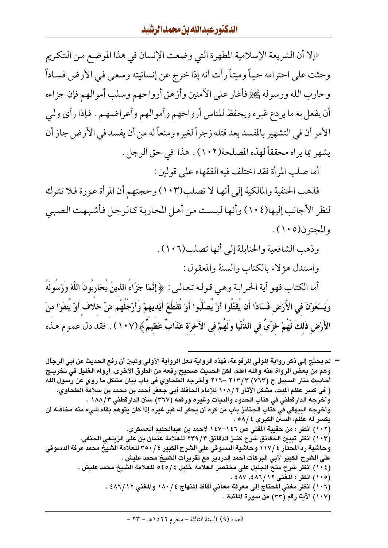«إلا أن الشريعة الإسلامية المطهرة التي وضعت الإنسان في هذا الموضع من التكريم وحثت على احترامه حياً وميتاً رأت أنه إذا خرج عن إنسانيته وسعى في الأرض فساداً وحارب الله ورسوله ﷺ فأغار على الآمنين وأزهق أرواحهم وسلب أموالهم فإن جزاءه أن يفعل به ما يردع غيره ويحفظ للناس أرواحهم وأموالهم وأعراضهم . فإذا رأى ولي الأمر أن في التشهير بالمفسد بعد قتله زجراً لغيره ومنعاً له من أن يفسد في الأرض جاز أن يشهر بما يراه محققاً لهذه المصلحة(١٠٢) . هذا في حق الرجل .

أما صلب المرأة فقد اختلف فيه الفقهاء على قولين :

فذهب الحنفية والمالكية إلى أنها لا تصلب(١٠٣) وحجتهم أن المرأة عورة فلا تترك لنظر الأجانب إليها(١٠٤) وأنها ليست من أهل المحاربة كالرجل فأشبهت الصبي والمجنون(١٠٥).

> وذهب الشافعية والحنابلة إلى أنها تصلب(١٠٦). واستدل هؤلاء بالكتاب والسنة والمعقول :

أما الكتاب فهو آية الحرابة وهي قوله تعالى: ﴿ إِنَّمَا جَزَاءُ الذينَ يُحَارِبُونَ اللَّهَ وَرَسُولَهُ وِيَسْعَوْنَ في الأَرْضِ فَسَادًا أَن يُقَتَّلُوا أَوْ يُصَلِّبُوا أَوْ تُقَطَّعَ أَيْديهمْ وَأَرْجُلُهُم مّنْ خلاف أَوْ يُنفَوْا منَ الأَرْضِ ذَلِكَ لَهُمْ خرْيٌ في الدُّنْيَا ولَهُمْ في الآخرَة عَذَابٌ عَظِيمٌ ﴾(١٠٧) . فقد دل عموم هـذه

= لم يحتج إلى ذكر رواية المولى المرفوعة، فهذه الرواية تعل الرواية الأولى وتبين أن رفع الحديث عن أبى الرجال وهم من بعض الرواة عنه والله أعلم، لكن الحديث صحيح رفعه من الطرق الأخرى. إرواء الغليل في تخريــج أحاديث منار السبيل ح (٧٦٣) ٣ /٢١٣ –٢١٦ وأخرجه الطحاوي في باب بيان مشكل ما روي عن رسول الله ( في كسر عظم الميت. مشكل الآثار ١٠٨/٢ للإمام الحافظ أبي جعفر أحمد بن محمد بن سلامة الطحاوي. وأخرجه الدارقطني في كتاب الحدود والديات وغيره ورقمه (٣٦٧) سنن الدارقطني ١٨٨/٣ . وأخرجه البيهقي في كتاب الجنائز باب من كره أن يحفر له قبر غيره إذا كان يتوهم بقاء شيء منه مخافــة أن يكسر له عظم، السنن الكبرى ٤ /٥٨ . (١٠٢) انظر : من حقيبة المفتى ص ١٤٦–١٤٧ لأحمد بن عبدالحليم العسكري. (١٠٣) انظر تبيين الحقائق شرح كنــز الدقائق ٣/ ٢٣٩ للـعلامة عثمان بن على الزيلـعي الـحنفي. وحاشية رد المحتار ﴾ /١١٧ وحاشية الدسوقي على الشرح الكبير ﴾ / ٣٥٠ للعلامة الشيخ محمد عرفة الدسوقي على الشرح الكبير لأبي البركات أحمد الدردير مع تقريرات الشيخ محمد عليش . (١٠٤) انظر شرح منح الجليل على مختصر العلامة خليل ٤٥/٤ للعلامة الشيخ محمد عليش . (١٠٥) انظر : المغنى ١٢/ ٤٨٦، ٤٨٧ . (١٠٦) انظر مغني المحتاج إلى معرفة معانى أفاظ المنهاج ١٨٠/٤ والمغنى ١٦/ ٤٨٦ . (١٠٧) الآية رقم (٣٣) من سورة المائدة .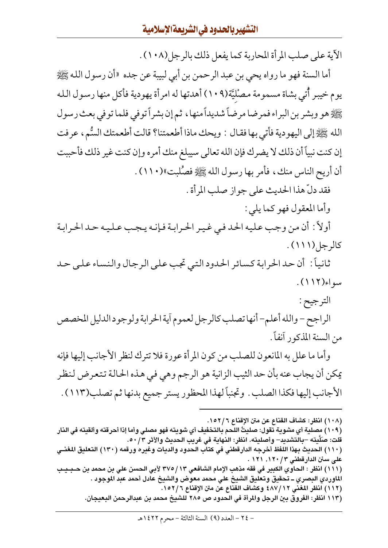الآية على صلب المرأة المحاربة كما يفعل ذلك بالرجل(١٠٨) .

أما السنة فهو ما رواه يحي بن عبد الرحمن بن أبي لبيبة عن جده «أن رسول الله ﷺ يوم خيبر أُتي بشاة مسمومة مصْليَّة(١٠٩) أهدتها له امرأة يهودية فأكل منها رسول الله يَّيَّالِيُّهُ هو وبشر بن البراء فمرضا مرضاً شديداً منها ، ثم إن بشراً توفي فلما توفي بعث رسول الله ﷺ إلى اليهودية فأتي بها فقـال : ويحك ماذا أطعمتنا؟ قالت أطعمتك السُّم، عرفت إن كنت نبياً أن ذلك لا يضرك فإن الله تعالى سيبلغ منك أمره وإن كنت غير ذلك فأحببت أن أريح الناس منك ، فأمر بها رسول الله ﷺ فصُّلبت»(١١٠) . فقد دلّ هذا الحديث على جواز صلب المرأة .

وأما المعقول فهو كما يلي :

أولاً : أن من وجب عليه الحد فبي غيبر الحرابـة فـإنـه يـجب عـلـيـه حـدالحرابـة كالرجل(١١١).

ثانياً: أن حد الحرابة كسائر الحدود التبي تجب على الرجال والنساء على حد  $(115)$ وليواء

الترجيح :

الراجح – والله أعلم– أنها تصلب كالرجل لعموم أية الحرابة ولوجود الدليل المخصص من السنة المذكور آنفاً .

وأما ما علل به المانعون للصلب من كون المرأة عورة فلا تترك لنظر الأجانب إليها فإنه يمكن أن يجاب عنه بأن حد الثيب الزانية هو الرجم وهي في هذه الحالة تتعرض لنظر الأجانب إليها فكذا الصلب . وتجنباً لهذا المحظور يستر جميع بدنها ثم تصلب(١١٣) .

(١٠٨) انظر: كشاف القناع عن متن الإقناع ١٥٢/٦.

(١١٣ انظر: الفروق بين الرجل والمرأة في الحدود ص ٢٨٥ للشيخ محمد بن عبدالرحمن البعيجان.

<sup>(</sup>١٠٩) مصلية أي مشوية تقول: صليتُ اللحم بالتخفيف أي شويته فهو مصلي وأما إذا أحرقته وألقيته في النار قلت: صَلَّيته –بالتشديد– وأصليته. انظر: النهاية في غريب الحديث والأثر ٥٠/٣.

<sup>(</sup>١١٠) الحديث بهذا اللفظ أخرجه الدارقطني في كتاب الحدود والديات وغيره ورقمه (١٣٠) التعليق المغنــي على سنن الدارقطني ١٢٠/ ١٢٠, ١٢١ .

<sup>(</sup>١١١) انظر : الحاوي الكبير في فقه مذهب الإمام الشافعي ١٣ /٢٧٥ لأبي الحسن على بن محمد بن حـبـيـب الماوردي البصري ــ تحقيق وتعليق الشيخ على محمد معوض والشيخ عادل أحمد عبد الموجود . (١١٢) انظر المغنى ١٢/٤٨٧ وكشاف القناع عن متن الإقناع ١٥٢/٦.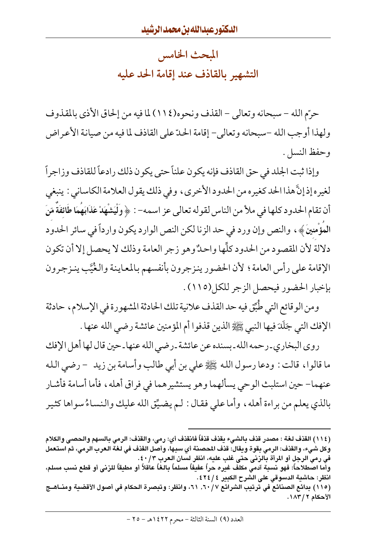المبحث الخامس التشهير بالقاذف عند إقامة الحد عليه

حرّم الله – سبحانه وتعالى – القذف ونحوه(١١٤) لما فيه من إلحاق الأذى بالمقذوف ولهذا أوجب الله –سبحانه وتعالى– إقامة الحدّ على القاذف لما فيه من صيانة الأعراض وحفظ النسل.

وإذا ثبت الجلد في حق القاذف فإنه يكون علناً حتى يكون ذلك رادعاً للقاذف وزاجراً لغيره إذ إنَّ هذا الحد كغيره من الحدود الأخرى، وفي ذلك يقول العلامة الكاساني : ينبغي أن تقام الحدود كلها في ملأ من الناس لقوله تعالى عز اسمه- : ﴿ وَلَّيَشْهَدْ عَذَابَهَمَا طَائِفَةً مّنَ المؤْمنينَ ﴾ ، والنص وإن ورد في حد الزنا لكن النص الوارد يكون وارداً في سائر الحدود دلالة لأن المقصود من الحدود كلُّها واحدٌ وهو زجر العامة وذلك لا يحصل إلا أن تكون الإقامة على رأس العامة؛ لأن الحضور ينزجرون بأنفسهم بالمعاينة والغُيَّب ينزجرون بإخبار الحضور فيحصل الزجر للكل(١١٥).

ومن الوقائع التي طُبِّق فيه حد القذف علانية تلك الحادثة المشهورة في الإسلام، حادثة الإفك التي جَلَدَ فيها النبي ﷺ الذين قذفوا أم المؤمنين عائشة رضى الله عنها .

روى البخاري ـ رحمه الله ـ بسنده عن عائشة ـ رضى الله عنها ـ حين قال لها أهل الإفك ما قالوا، قالت : ودعا رسول الله ﷺ علي بن أبي طالب وأسامة بن زيد – رضي الله عنهما– حين استلبث الوحي يسألهما وهو يستشيرهما في فراق أهله، فأما أسامة فأشار بالذي يعلم من براءة أهله، وأما علي فقال : لم يضيِّق الله عليك والنساءُ سواها كثير

(١١٥) بدائع الصنائع في ترتيب الشرائع ٦٠/٧. ٦١، وانظر: وتبصرة الحكام في أصول الأقضية ومنــاهــج الأحكام ٢ / ١٨٣.

<sup>(</sup>١١٤) القذف لغة : مصدر قذف بالشيء يقذف قذفاً فانقذف أي: رمي، والقذف: الرمي بالسهم والحصي والكلام وكل شيء، والقذف: الرمي بقوة ويقال: قذف المحصنة أي سبها، وأصل القذف في لغة العرب الرمي، ثم استعمل في رمي الرجل أو المرأة بالزني حتى غلب عليه، انظر لسان العرب ٤٠/٣. وأما اصطلاحاً: فهو نسبة آدمي مكلف غيره حراً عفيفاً مسلماً بالغاً عاقلاً أو مطيقاً للزنى أو قطع نسب مسلم، انظر: حاشية الدسوقي على الشرح الكبير ٤ / ٤٢٤.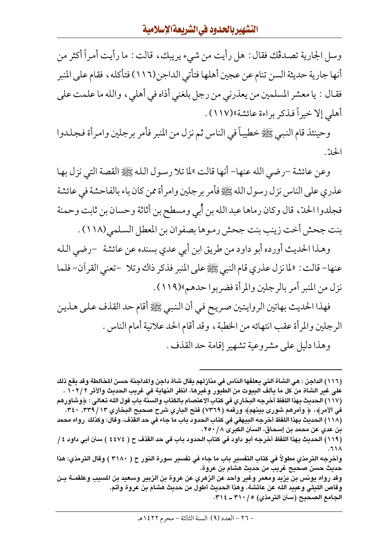وسل الجارية تصدڤك فقال : هل رأيت من شيء يريبك ، قالت : ما رأيت أمراً أكثر من أنها جارية حديثة السن تنام عن عجين أهلها فتأتي الداجن(١١٦٦) فتأكله ، فقام على المنبر فقـال : يا معشر المسلمين من يعذرني من رجل بلغني أذاه في أهلي ، والله ما علمت علي أهلي إلا خيراً فذكر براءة عائشة»(١١٧).

وحينئذ قام النبيي ﷺ خطيباً في الناس ثم نزل من المنبر فأمر برجلين وامرأة فجلدوا الحدّ.

وعن عائشة –رضي الله عنها– أنها قالت »لما تلا رسول الله ﷺ القصة التي نزل بها عذري على الناس نزل رسول الله ﷺ فأمر برجلين وامرأة ممن كان باء بالفاحشة في عائشة فجلدوا الحدّ، قال وكان رماها عبد الله بن أُبي ومسطح بن أثاثة وحسان بن ثابت وحمنة بنت جحش أخت زينب بنت جحش رموها بصفوان بن المعطل السلمي(١١٨) .

وهـذا الحديث أورده أبو داود من طريق ابن أبي عدي بسنده عن عائشة –رضي الـله عنها- قالت : «لما نزل عذري قام النبي ﷺ على المنبر فذكر ذاك وتلا –تعني القرآن- فلما نزل من المنبر أمر بالرجلين والمرأة فضربوا حدهم»(١١٩).

فهذا الحديث بهاتين الروايتين صريح في أن النبي ﷺ أقام حد القذف على هذين الرجلين والمرأة عقب انتهائه من الخطبة ، وقد أقام الحد علانية أمام الناس . وهذا دليل على مشروعية تشهير إقامة حد القذف .

(١١٦) الداجن : هي الشاة التي يعلفها الناس في منازلهم يقال شاة داجن والمداجنة حسن المخالطة وقد يقع ذلك على غير الشاة من كل ما يألف البيوت من الطيور وغيرها، انظر النهاية في غريب الحديث والأثر ٢ / ٢ ٠ ١ . (١١٧) الحديث بهذا اللفظ أخرجه البخاري في كتاب الاعتصام بالكتاب والسنة باب قول الله تعالى : ﴿وشاورهم في الأمرِ﴾، ﴿ وأمرهم شوري بينهم﴾ ورقمه (٧٣٦٩) فتح الباري شرح صحيح البخاري ٢٤١ / ٣٤٩. ٤٠٠. (١١٨ ) الحديث بهذا اللفظ أخرجه البيهقي في كتاب الحدود باب ما جاء في حد القذف، وقال: وكذلك رواه محمد بن عدي عن محمد بن إسحاق، السنن الكبرى ٢٥٠/٨. (١١٩) الحديث بهذا اللفظ أخرجه أبو داود في كتاب الحدود باب في حد القذف ح ( ٤٤٧٤ ) سنن أبي داود ٤ /

وأخرجه الترمذي مطولاً في كتاب التفسير باب ما جاء في تفسير سورة النور ح ( ٣١٨٠ ) وقال الترمذي: هذا حديث حسن صحيح غريب من حديث هشام بن عروة.

وقد رواه يونس بن يزيد ومعمر وغير واحد عن الزهري عن عروة بن الزبير وسعيد بن المسيب وعلقمــة بــن وقاص الليثي وعبيد الله عن عائشة. وهذا الحديث أطول من حديث هشام بن عروة وأتم. الجامع الصحيح (سنن الترمذي) ٢١٠/٥- ٣١٤.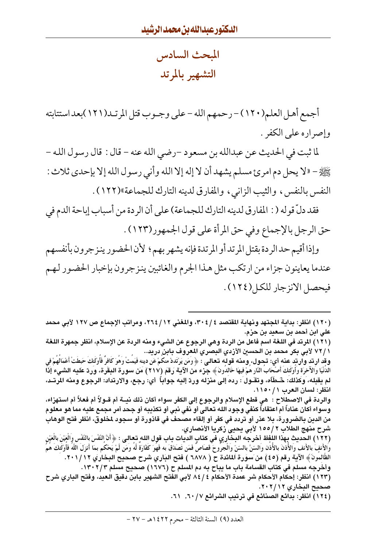المبحث السادس التشهير بالمرتد

أجمع أهل العلم(١٢٠) – رحمهم الله – على وجـوب قتل المرتـد(١٢١)بعد استتابته وإصراره على الكفر .

لما ثبت في الحديث عن عبدالله بن مسعود –رضي الله عنه – قال : قال رسول الله – صَّلِيَّةِ - «لا يحل دم امرئ مسلم يشهد أن لا إله إلا الله وأنى رسول الله إلا بإحدى ثلاث : النفس بالنفس، والثيب الزاني، والمفارق لدينه التارك للجماعة»(١٢٢).

فقد دلَّ قو له ( : المفارق لدينه التارك للجماعة) على أن الر دة من أسباب إباحة الدم في حق الرجل بالإجماع وفي حق المرأة على قول الجمهور(١٢٣) .

وإذا أقيم حد الردة بقتل المرتد أو المرتدة فإنه يشهر بهم ؛ لأن الحضور ينزجرون بأنفسهم عندما يعاينون جزاء من ارتكب مثل هـذا الجرم والغائبين ينزجرون بإخبار الحضـور لـهـم فيحصل الانزجار للكل(١٢٤).

(١٢١) المرتد في اللغة اسم فاعل من الردة وهي الرجوع عن الشيء ومنه الردة عن الإسلام، انظر جمهرة اللغة ١ / ٧٢ لأبي بكر محمد بن الحسين الأزدي البصري المعروف بابن دريد..

وقِد ارتد وآرتدٍ عنه أي: تُحول، ومنه قولَه تعالى : ﴿ وَمَن يَرْتَدَدْ مَكُمْ عَنْ دينه فَيَمُتْ وَهُوَ كَافرٌ فأوْلئكَ حَطَتْ أعْمَالُهُمْ في الدَنْيَا والأخرَة وأُوَّلئك أصْحَاب النَّار همْ فيهَا خالدون ﴾ جزء من الآية رَقَمَ (٢١٧) مَنْ سورة البقرة، وردّ عليه الشيء إذا لم يقبله، وكذلك: شَطَّأه، وتقـول : رده إلى منزله وردّ إليه جواباً ۖ أي: رجع، والارتداد: الرجوع ومنه المرتـد، انظر: لسان العرب ١١٥٠/١.

والردة في الاصطلاح : هي قطع الإسلام والرجوع إلى الكفر سواء أكان ذلك نيــة أم قــولاً أم فعلاً أم استهزاء، وسواء أكان عناداً أم اعتقاداً كنفي وجود الله تعالى أو نفي نبي أو تكذيبه أو جحد أمر مجمع عليه مما هو معلوم من الدين بالضرورة، بلا عذر أو تردد في كفر أو إلقاء مصحف في قاذورة أو سجود لمخلوق، انظر فتح الوهاب شرح منهج الطلاب ٢ /١٥٥ لأبي يحيى زكريا الأنصاري.

(١٢٢) الحديث بِهذا اللفظ أخرجه البخاري في كتاب الديات باب قول الله تعالى : ﴿ أَنَّ النَّفْسَ بالنَّفْس والْبَيْنَ بالْعَيْن والأَنفِ بالأَنف والأَذنَ بالأَذن والسّنَّ بالسّنّ والْجروحَ قصَاصَ فَمَن تَصَدَّقَ به فَهَوَ كَقَارَةَ لَهُ وَمَن لَّمْ يَحْكم بمَا أَنزَلَ اللَّهُ فَأَوْلَئكَ هُمُ الظَّالمونَ﴾ الآية رقم (٤٥) من َسوَرة اَلمائدة ح ( ٦٨٧٨ ) فتح البَاري شرح صحيح البخاري ٢٠١/١٢. وأخرجه مسلم في كتاب القسامة باب ما يباح به دم المسلم ح (١٦٧٦) صحيح مسلم ١٣٠٢/٢.

(١٢٣) انظر: إحكام الأحكام شر عمدة الأحكام ٤ / ٨٤ لأبي الفتح الشهير بابن دقيق العيد، وفتح الباري شرح صحيح البخاري ٢٠٢/١٢.

(١٢٤) انظر: بدائع الصنائع في ترتيب الشرائع ٦٠/٧, ٦٠١.

<sup>(</sup>١٢٠) انظر: بداية المجتهد ونهاية المقتصد ٢٠٤/٤، والمغني ٢٦٤/١٢، ومراتب الإجماع ص ١٢٧ لأبي محمد علي ابن أحمد بن سعيد بن حزم.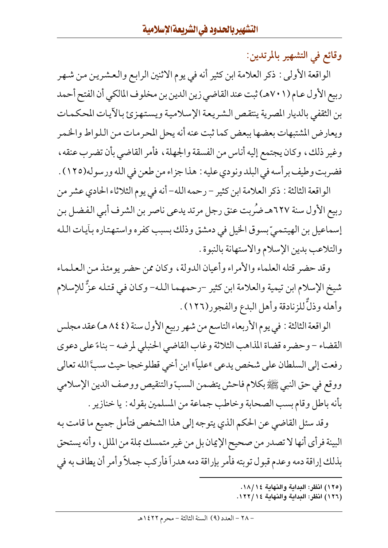وقائع في التشهير بالمرتدين:

الواقعة الأولى : ذكر العلامة ابن كثير أنه في يوم الاثنين الرابع والعشرين من شهر ربيع الأول عـام (٧٠١هـ) ثبت عند القاضي زين الدين بن مخلوف المالكي أن الفتح أحمد بن الثقفي بالديار المصرية ينتقص الشريعة الإسلامية ويستهزئ بالأيات المحكمات ويعارض المشتبهات بعضها ببعض كما ثبت عنه أنه يحل المحرمات من اللواط والخمر وغير ذلك، وكان يجتمع إليه أناس من الفسقة والجهلة، فأمر القاضي بأن تضرب عنقه، فضربت وطيف برأسه في البلد ونودي عليه : هذا جزاء من طعن في الله ورسوله(١٢٥) .

الواقعة الثالثة : ذكر العلامة ابن كثير – رحمه الله– أنه في يوم الثلاثاء الحادي عشر من ربيع الأول سنة ٦٢٧هـ ضُربت عنق رجل مرتد يدعى ناصر بن الشرف أبي الفضل بن إسماعيل بن الهيتميّ بسوق الخيل في دمشق وذلك بسبب كفره واستهتاره بأيات الله والتلاعب بدين الإسلام والاستهانة بالنبوة .

وقد حضر قتله العلماء والأمراء وأعيان الدولة، وكان ممن حضر يومئذ من العلماء شيخ الإسلام ابن تيمية والعلامة ابن كثير –رحمهما الله– وكان في قتله عزٌّ للإسلام وأهله وذلَّ للزنادقة وأهل البدع والفجور(١٢٦) .

الواقعة الثالثة : في يوم الأربعاء التاسع من شهر ربيع الأول سنة ( ٨٤٤ هـ) عقد مجلس القضاء – وحضره قضاة المذاهب الثلاثة وغاب القاضي الحنبلي لمرضه – بناءً على دعوى رفعت إلى السلطان على شخص يدعى »علياً» ابن أخي قطلوخجا حيث سبَّ الله تعالى ووقع في حق النبي ﷺ بكلام فاحش يتضمن السبّ والتنقيص ووصف الدين الإسلامي بأنه باطلٍ وقام بسب الصحابة وخاطب جماعة من المسلمين بقوله : يا خنازير .

وقد سئل القاضي عن الحكم الذي يتوجه إلى هذا الشخص فتأمل جميع ما قامت به البينة فرأى أنها لا تصدر من صحيح الإيمان بل من غير متمسك بملة من الملل ، وأنه يستحق بذلك إراقة دمه وعدم قبول توبته فأمر بإراقة دمه هدراً فأركب جملاً وأمر أن يطاف به في

- (١٢٥) انظر: البداية والنهاية ١٨/١٤.
- (١٢٦) انظر: البداية والنهاية ١٢٢/١٤.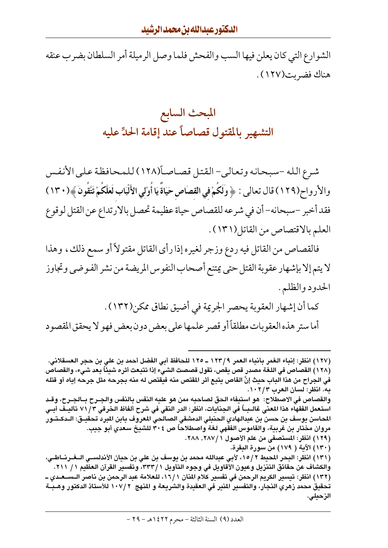الشوارع التي كان يعلن فيها السب والفحش فلما وصل الرميلة أمر السلطان بضرب عنقه هناك فضربت(١٢٧) .

## المبحث السابع التشهير بالمقتول قصاصأ عند إقامة الحلِّ عليه

شرع الله -سبحانه وتعالى- القتل قصاصاً(١٢٨) للمحافظة على الأنفس والأرواح(١٢٩) قال تعالى : ﴿ وَلَكُمْ فِي القصَاصِ حَيَاةً يَا أُوْلِي الأَلْبَابِ لَعَلَّكُمْ تَتَّقُونَ ﴾(١٣٠) فقد أخبر -سبحانه- أن في شرعه للقصاص حياة عظيمة تحصل بالارتداع عن القتل لوقوع العلم بالاقتصاص من القاتل(١٣١).

فالقصاص من القاتل فيه ردع وزجر لغيره إذا رأى القاتل مقتولاً أو سمع ذلك، وهذا لايتم إلا بإشهار عقوبة القتل حتى يمتنع أصحاب النفوس المريضة من نشر الفـوضي وتجاوز الحدود والظلم .

كما أن إشهار العقوبة يحصر الجريمة في أضيق نطاق ممكن(١٣٢) . أما ستر هذه العقوبات مطلقاً أو قصر علمها على بعض دون بعض فهو لا يحقق المقصود

(١٢٧ ) انظر: إنباء الغمر بأنباء العمر ١٢٣/٩ ــ ١٢٥ للحافظ أبي الفضل أحمد بن علي بن حجر العسقلاني. (١٢٨) القصاص في اللغة مصدر قص يقص، تقول قصصت الشيء إذا تتبعت أثره شيئاً بعد شىء، والقصاص في الجراح من هذا الباب حيث إنَّ القاص يتبع أثر المقتص منه فيقتص له منه بجرحه مثل جرحه إياه أو قتله به. انظر: لسان العرب ١٠٢/٣. والقصاص في الاصطلاح: هو استيفاء الحق لصاحبه ممن هو عليه النفس بالنفس والجـرح بــالجـرح، وقـد استعمل الفقهاء هذا المعنى غالـبــاً فى الجنايات، انظر: الدر النقى فى شرح ألفاظ الخرقى ٧١/٣ تأليــف أبــى المحاسن يوسف بن حسن بن عبدالهادى الحنبلى الدمشقى الصالحي المعروف بابن المبرد تحقيــق: الــدكــتــور مروان مختار بن غربية، والقاموس الفقهي لغة واصطلاحاً ص ٣٠٤ للشيخ سعدي أبو جيب. (١٢٩) انظر: المستصفى من علم الأصول ٢٨٧/١. ٢٨٨. (١٣٠) الآية ( ١٧٩) من سورة البقرة. (١٣١) انظر: البحر المحيط ١٥/٢، لأبي عبدالله محمد بن يوسف بن علي بن حيان الأندلسـي الـــفــرنـــاطــي، والكشاف عن حقائق التنزيل وعيون الأقاويل في وجوه التأويل ٣٣٣/١، وتفسير القرآن العظيم ١/ ٢١١. (١٣٢ ) انظر: تيسير الكريم الرحمن في تفسير كلام المنان ١٦/١، للعلامة عبد الرحمن بن ناصر الـســعـدي ــ تحقيق محمد زهري النجار، والتفسير المنير في العقيدة والشريعة و المنهج ٢٠٧/٢ للأستاذ الدكتور وهـبــة الزحيلي.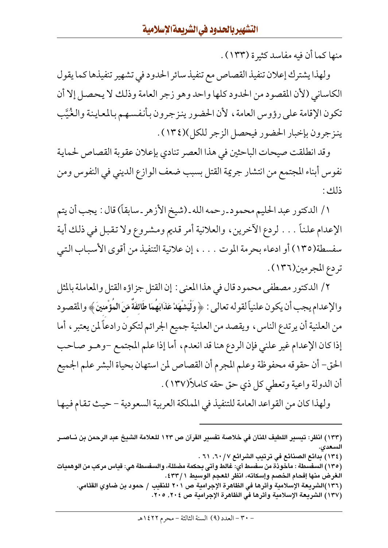منها كما أن فيه مفاسد كثيرة (١٣٣) .

ولهذا يشترك إعلان تنفيذ القصاص مع تنفيذ سائر الحدود في تشهير تنفيذها كما يقول الكاساني (لأن المقصود من الحدود كلها واحد وهو زجر العامة وذلك لا يحصل إلا أن تكون الإقامة على رؤوس العامة، لأن الحضور ينزجرون بأنفسهم بالمعاينة والغُيَّب ينزجرون بإخبار الحضور فيحصل الزجر للكل)(١٣٤).

وقد انطلقت صيحات الباحثين في هذا العصر تنادي بإعلان عقوبة القصاص لحماية نفوس أبناء المجتمع من انتشار جريمة القتل بسبب ضعف الوازع الديني في النفوس ومن ذلك :

١/ الدكتور عبد الحليم محمود ـ رحمه الله ـ (شيخ الأزهر ـ سابقاً) قال : يجب أن يتم الإعدام علناً . . . لردع الآخرين، والعلانية أمر قديم ومشروع ولا تقبل في ذلك أية سفسطة(١٣٥) أو ادعاء بحرمة الموت . . . ، إن علانية التنفيذ من أقوى الأسباب التبي تردع المجرمين(١٣٦) .

٢/ الدكتور مصطفى محمود قال في هذا المعنى : إن القتل جزاؤه القتل والمعاملة بالمثل والإعدام يجب أن يكون علنياً لقوله تعالى : ﴿ وَلْيَشْهَدْ عَذَابَهُمَا طَائِفَةٌ مّنَ الْمَؤْمِنينَ﴾ والمقصود من العلنية أن يرتدع الناس، ويقصد من العلنية جميع الجرائم لتكون رادعاً لمن يعتبر ، أما إذا كان الإعدام غير علني فإن الردع هنا قد انعدم، أما إذا علم المجتمع -وهـو صاحب الحق- أن حقوقه محفوظة وعلم المجرم أن القصاص لمن استهان بحياة البشر علم الجميع أن الدولة واعية وتعطي كل ذي حق حقه كاملاً(١٣٧) .

ولهذا كان من القواعد العامة للتنفيذ في المملكة العربية السعودية – حيث تقام فيها

- (١٣٤) بدائع الصنائع في ترتيب الشرائع ٦٠/ ٦٠, ٦١ .
- (١٣٥) السفسطة : مأخوذة من سفسط أي: غالط وأتي بحكمة مضللة، والسفسطة هي: قياس مركب من الوهميات الغرض منها إفحام الخصم وإسكاته، انظر المعجم الوسيط ٤٣٣/١.
	- (١٣٦)الشريعة الإسلامية وأثرها في الظاهرة الإجرامية ص ٢٠١ للنقيب / حمود بن ضاوي القثامي.
		- (١٣٧) الشريعة الإسلامية وأثرها في الظاهرة الإجرامية ص ٢٠٤. ٢٠٥.

<sup>(</sup>١٣٣) انظر: تيسير اللطيف المنان في خلاصة تفسير القرآن ص ١٢٣ للعلامة الشيخ عبد الرحمن بن نــاصــر الس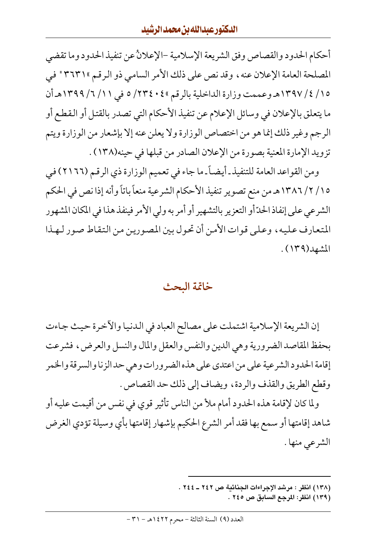أحكام الحدود والقصاص وفق الشريعة الإسلامية –الإعلانُ عن تنفيذ الحدود وما تقضى المصلحة العامة الإعلان عنه، وقد نص على ذلك الأمر السامي ذو الرقم ٣٦٣١٣ في ١٥/ ٤/ ١٣٩٧هـ وعممت وزارة الداخلية بالرقم ٢٣٤٠٤/ ٥ في ١١/ ٦/ ١٣٩٩هـ أن ما يتعلق بالإعلان في وسائل الإعلام عن تنفيذ الأحكام التي تصدر بالقتل أو القطع أو الرجم وغير ذلك إنما هو من اختصاص الوزارة ولا يعلن عنه إلا بإشعار من الوزارة ويتم تزويد الإمارة المعنية بصورة من الإعلان الصادر من قبلها في حينه(١٣٨) .

ومن القواعد العامة للتنفيذ ـ أيضـاً ـ ما جاء في تعميم الوزارة ذي الرقـم (٢١٦٦) في ١٥/ ٢/ ١٣٨٦هـ من منع تصوير تنفيذ الأحكام الشرعية منعاً باتاً وأنه إذا نص في الحكم الشرعي على إنفاذ الحدّ أو التعزير بالتشهير أو أمر به ولي الأمر فينفذ هذا في المكان المشهور المتعارف عليه، وعلى قوات الأمن أن تحول بين المصورين من التقاط صور لهذا المشهد(١٣٩).

#### خاتمة البحث

إن الشريعة الإسلامية اشتملت على مصالح العباد في الدنيا والأخرة حيث جاءت بحفظ المقاصد الضرورية وهي الدين والنفس والعقل والمال والنسل والعرض، فشرعت إقامة الحدود الشرعية على من اعتدى على هذه الضرورات وهي حد الزنا والسرقة والخمر وقطع الطريق والقذف والردة، ويضاف إلى ذلك حد القصاص .

ولما كان لإقامة هذه الحدود أمام ملأ من الناس تأثير قوى في نفس من أقيمت عليه أو شاهد إقامتها أو سمع بها فقد أمر الشرع الحكيم بإشهار إقامتها بأي وسيلة تؤدي الغرض الشرعي منها .

- (١٣٨) انظر : مرشد الإجراءات الجنائية ص ٢٤٢ ـ ٢٤٤ .
	- (١٣٩) انظر: المرجع السابق ص ٢٤٥ .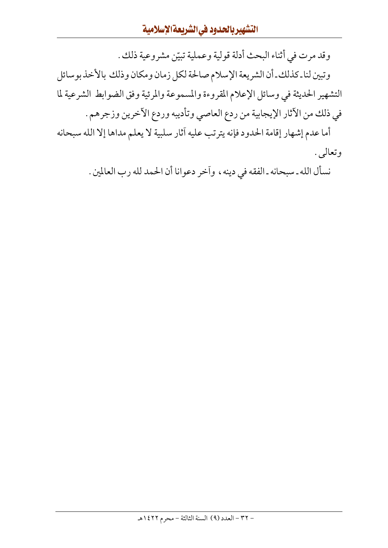وقد مرت في أثناء البحث أدلة قولية وعملية تبيّن مشروعية ذلك . وتبين لنا ـ كذلك ـ أن الشريعة الإسلام صالحة لكل زمان ومكان وذلك بالأخذ بوسائل التشهير الحديثة في وسائل الإعلام المقروءة والمسموعة والمرئية وفق الضوابط الشرعية لما في ذلك من الآثار الإيجابية من ردع العاصي وتأديبه وردع الآخرين وزجرهم .

أما عدم إشهار إقامة الحدود فإنه يترتب عليه آثار سلبية لا يعلم مداها إلا الله سبحانه وتعالى .

نسأل الله ـ سبحانه ـ الفقه في دينه ، وأخر دعوانا أن الحمد لله رب العالمين .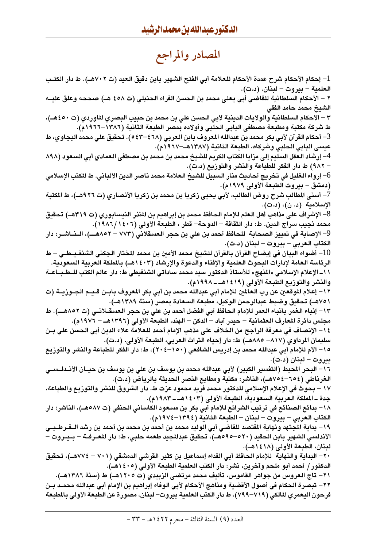## المصادر والمراجع

l – إحكام الأحكام شرح عمدة الأحكام للعلامة أبي الفتح الشهير بابن دقيق العيد (ت ٧٠٢هـ). ط دار الكتـب العلمية – بيروت – لبنان. (د.ت). ٢ – الأحكام السلطانية للقاضى أبي يعلي محمد بن الحسن الفراء الحنبلي (ت ٤٥٨ هـ) صححه وعلق عليــه الشيخ محمد حامد الفقى ٣ – الأحكام السلطانية والولايات الدينية لأبى الحسن علي بن محمد بن حبيب البصري الماوردي (ت ٤٥٠هـ)، ط شركة مكتبة ومطبعة مصطفى البابي الحلبي وأولاده بمصر الطبعة الثانية (١٣٨٦–١٩٦٦م). 3– أحكام القرآن لأبى بكر محمد بن عبدالله المعروف بابن العربي (٤٦٨–٥٤٣). تحقيق علي محمد البجاوي، ط عيسى البابي الحلبي وشركاه، الطبعة الثانية (١٣٨٧هـ–١٩٦٧م). 4— إرشاد العقل السليم إلى مزايا الكتاب الكريم للشيخ محمد بن محمد بن مصطفى العمادي أبي السعود (٨٩٨ – ٩٨٢) ط دار الفكر للطباعة والنشر والتوزيع (د.ت). 6– إرواء الغليل في تخريج أحاديث منار السبيل للشيخ العلامة محمد ناصر الدين الألباني. ط المكتب الإسلامي (دمشق – بيروت الطبعة الأولى ١٩٧٩م). 7– أسنى المطالب شرح روض الطالب، لأبى يحيى زكريا بن محمد بن زكريا الأنصاري (ت ٩٢٦هـ)، ط المكتبة الإسلامية (د. ن)، (د.ت). 8– الإشراف على مذاهب أهل العلم للإمام الحافظ محمد بن إبراهيم بن المنذر النيسابوري (ت ٣١٩هـ) تحقيق محمد نجيب سراج الدين. ط: دار الثقافة – الدوحة– قطر ، الطبعة الأولى (١٤٠٦/١٤٠٦). 9– الإصابة في تمييز الصحابة للحافظ أحمد بن علي بن حجر العسقلاني (٧٧٣ – ٨٨٥٢هـــ)، الــنــاشــر: دار الكتاب العربي – بيروت – لبنان (د.ت). 10– أضواء البيان في إيضاح القرآن بالقرآن للشيخ محمد الأمين بن محمد المختار الجكني الشنقـبـطـي – ط الرئاسة العامة لإدارات البحوث العلمية والإفتاء والدعوة والإرشاد (١٤٠٣هـ) بالملكة العربية السعودية. ١١- الإعلام الإسلامي «المنهج» للأستاذ الدكتور سيد محمد ساداتي الشنقيطي ط: دار عالم الكتب للـطـبــاعــة والنشر والتوزيع الطبعة الأولى (١٩١٤هـ ـ ١٩٩٨م). ١٢– إعلام الموقعين عن رب العالمين للإمام أبي عبدالله محمد بن أبي بكر المعروف بابـن قـيـم الجـوزيــة (ت ٧٥١هـ) تحقيق وضبط عبدالرحمن الوكيل، مطبعة السعادة بمصر (سنة ١٣٨٩هـ). ١٣- إنباء الغمر بأنباء العمر للإمام الحافظ أبي الفضل أحمد بن علي بن حجر العسقـلانــي (ت ٨٥٢هـــ). ط مجلس دائرة المعارف العثمانية – حيدر آباد – الدكن – الهند، الطبعة الأولى (١٣٩٦هـ – ١٩٧٦م). ١٤ – الإنصاف في معرفة الراجح من الخلاف على مذهب الإمام أحمد للعلامة علاء الدين أبي الحسن على بـن سليمان المرداوي (٨١٧– ٨٨٨هـ) ط: دار إحياء التراث العربي، الطبعة الأولى. (د.ت). ١٥– الأم للإمام أبي عبدالله محمد بن إدريس الشافعي (١٥٠–٢٠٤)، ط: دار الفكر للطباعة والنشر والتوزيع ىدروت – لىنان (د.ت). ١٦– البحر المحيط (التفسير الكبير) لأبي عبدالله محمد بن يوسف بن علي بن يوسف بن حيــان الأنــدلـــــــي الغرناطي (٦٥٤–٧٥٤هـ)، الناشر: مكتبة ومطابع النصر الحديثة بالرياض (د.ت). ١٧ – بحوث في الإعلام الإسلامي للدكتور محمد فريد محمود عزت ط. دار الشروق للنشر والتوزيع والطباعة، جدة ــ المملكة العربية السعودية، الطبعة الأولى (١٤٠٣هـ ـ ١٩٨٣م). ١٨– بدائع الصنائع في ترتيب الشرائع للإمام أبي بكر بن مسعود الكاساني الحنفي (ت ٥٨٧هـ)، الناشر: دار الكتاب العربي – بيروت – لبنان – الطبعة الثانية (١٣٩٤–١٩٧٤م). ١٩– بداية المجتهد ونهاية المقتصد للقاضي أبي الوليد محمد بن أحمد بن محمد بن أحمد بن رشد الــقــرطــبــي الأندلسي الشهير بابن الحقيد (٥٢٠–٥٩٥هـ)، تحقيق عبدالمجيد طعمه حلبي، ط: دار المعـرفــة – بــيــروت -لبنان، الطبعة الأولى (١٤١٨هـ). ٢٠ – البداية والنهاية للإمام الحافظ أبي الفداء إسماعيل بن كثير القرشي الدمشقي (٧٠١ – ٧٧٤هـ)، تحقيق الدكتور / أحمد أبو ملحم وآخرين، نشر: دار الكتب العلمية الطبعة الأولى (١٤٠٥هـ). ٢١– تاج العروس من جواهر القاموس، تأليف محمد مرتضى الزبيدي (ت ١٢٠٥هــ) ط (سنة ١٣٨٦هــ). ٢٢– تبصرة الحكام في أصول الأقضية ومناهج الأحكام لأبي الوفاء إبراهيم بن الإمام أبي عبدالله محمـد بـن فرحون اليعمري المالكي (٧١٩–٧٩٩)، ط دار الكتب العلمية بيروت– لبنان، مصورة عن الطبعة الأولى بالمطبعة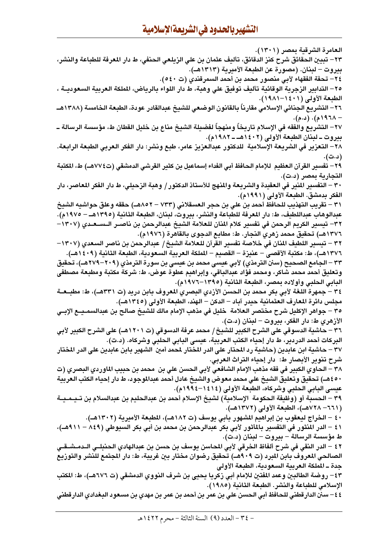العامرة الشرقية بمصر (١٣٠١). ٢٣ – تبيين الحقائق شرح كنز الدقائق، تأليف عثمان بن على الزيلعي الحنفي، ط دار المعرفة للطباعة والنشر، بيروت – لبنان. (مصورة عن الطبعة الأميرية (١٣١٣هـ). ٢٤– تحفة الفقهاء لأبي منصور محمد بن أحمد السمرقندي (ت ٥٤٠). ٢٥– التدابير الزجرية الوقائية تأليف توفيق على وهبة، ط دار اللواء بالرياض، الملكة العربية السعوديــة ، الطبعة الأولى (١٤٠١-١٩٨١). ٢٦– التشريع الجنائي الإسلامي مقارناً بالقانون الوضعي للشيخ عبدالقادر عودة، الطبعة الخامسة (١٣٨٨هــ – ۱۹۲۸م). (د.م). ٢٧– التشريع والفقه فى الإسلام تاريخاً ومنهجاً لفضيلة الشيخ مناع بن خليل القطان ط، مؤسسة الرسالة ــ بيروت ــ لبنان الطبعة الأولى (١٤٠٢هــ ١٩٨٢م). ٢٨– التعزير في الشريعة الإسلامية للدكتور عبدالعزيز عامر، طبع ونشر: دار الفكر العربي الطبعة الرابعة. (د.ت). ٢٩ – تفسير القرآن العظيم للإمام الحافظ أبي الفداء إسماعيل بن كثير القرشي الدمشقي (ت٧٧٤هـ) ط، المكتبة التجارية بمصر (د.ت). ٣٠ – التفسير المنير في العقيدة والشريعة والمنهج للأستاذ الدكتور / وهبة الزحيلي، ط دار الفكر المعاصر، دار الفكر بدمشق. الطبعة الأولى (١٩٩١م). ٣١ – تقريب التهذيب للحافظ أحمد بن علي بن حجر العسقلاني (٧٣٣ – ٨٥٢هــ) حققه وعلق حواشيه الشيخ عبدالوهاب عبداللطيف، ط: دار المعرفة للطباعة والنشر، بيروت، لبنان، الطبعة الثانية (١٣٩٥هـ – ١٩٧٥م). ٣٢– تيسير الكريم الرحمن في تفسير كلام المُنان للعلامة الشيخ عبدالرحمن بن ناصــر الـســعـدي (١٣٠٧– ١٣٧٦هـ) تحقيق محمد زهري النجار. ط: مطابع الدجوي بالقاهرة (١٩٧٦م). ٣٢ – تيسير اللطيف المنان في خلاصة تفسير القرآن للعلامة الشيخ / عبدالرحمن بن ناصر السعدي (١٣٠٧– ١٣٧٦هــ)، ط: مكتبة الأقصى – عنيزة – القصيم – الملكة العربية السعودية، الطبعة الثانية (١٤٠٩هــ). ٣٣ – الجامع الصحيح (سنن الترمذي) لأبي عيسى محمد بن عيسى بن سورة الترمذي (٢٠٩–٢٧٩هـ)، تحقيق وتعليق أحمد محمد شاكر، ومحمد فؤاد عبدالباقى، وإبراهيم عطوة عوض، ط: شركة مكتبة ومطبعة مصطفى البابي الحلبي وأولاده بمصر، الطبعة الثانية (١٣٩٥–١٩٧٦م). ٣٤ – جمهرة اللغة لأبي بكر محمد بن الحسن الأزدي البصري المعروف بابن دريد (ت ٣٣١هـ)، ط: مطبــعــة مجلس دائرة المعارف العثمانية حيدر آباد – الدكن – الهند، الطبعة الأولى (١٣٤٥هـ). ٣٥ – جواهر الإكليل شرح مختصر العلامة خليل في مذهب الإمام مالك للشيخ صالح بن عبدالسمـيــع الإبــي الأزهري ط: دار الفكر، بيروت – لبنان (د.ت). ٣٦ – حاشية الدسوقي على الشرح الكبير للشيخ / محمد عرفة الدسوقي (ت ١٢٠١هـ) على الشرح الكبير لأبي البركات أحمد الدردير، ط دار إحياء الكتب العربية، عيسى البابي الحلبي وشركاه. (د.ت). ٣٧ – حاشية ابن عابدين (حاشية رد المحتار على الدر المختار لمحمد أمين الشهير بابن عابدين على الدر المختار شرح تنوير الأبصار ط: دار إحياء التراث العربي. ٣٨ – الحاوي الكبير في فقه مذهب الإمام الشافعي لأبي الحسن علي بن محمد بن حبيب الماوردي البصري (ت ٤٥٠هــ) تحقيق وتعليق الشيخ على محمد معوض والشيخ عادل أحمد عبدالموجود، ط دار إحياء الكتب العربية عيسى البابي الحلبي وشركاه، الطبعة الأولى (١٤١٤–١٩٩٤م). ٣٩ – الحسبة أو (وظيفة الحكومة الإسلامية) لشيخ الإسلام أحمد بن عبدالحليم بن عبدالسلام بن تـيــمـيــة (٦٦١١– ٧٢٨هـ)، الطبعة الأولى (١٣٧٢هـ). ٤٠ – الخراج ليعقوب بن إبراهيم المشهور بأبي يوسف (ت ١٨٢هـ)، المطبعة الأميرية (١٣٠٢هـ). ٤١ – الدر المنثور في التفسير بالمأثور لأبي بكر عبدالرحمن بن محمد بن أبي بكر السيوطي (٨٤٩ – ٩١١هـ)، ط مؤسسة الرسالة – بيروت – لبنان (د.ت). ٤٢ – الدر النقى في شرح ألفاظ الخرقي لأبي المحاسن يوسف بن حسن بن عبدالهادي الحنبلـى الــدمـشـقــى الصالحي المعروف بابن المبرد (ت ٩٠٩هـ) تحقيق رضوان مختار بين غريبة، ط: دار المجتمع للنشر والتوزيع جدة ــ الملكة العربية السعودية، الطبعة الأولى ٤٣ – روضة الطالبين وعمد المفتين للإمام أبي زكريا يحيي بن شرف النووي الدمشقي (ت ٦٧٦هــ)، ط: المكتب الإسلامي للطباعة والنشر. الطبعة الثانية (١٩٨٥). ٤٤ – سنن الدار قطنى للحافظ أبى الحسن علي بن عمر بن أحمد بن عمر بن مهدي بن مسعود البغدادي الدار قطني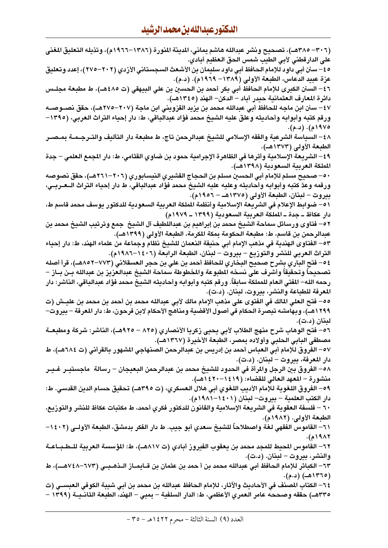| (٣٠٦– ٣٨٥هــ)، تصحيح ونشر عبدالله هاشم يماني، الدينة المنورة (١٣٨٦–١٩٦٦م)، وتذيله التعليق المغنى          |
|-----------------------------------------------------------------------------------------------------------|
| على الدارقطني لأبي الطيب شمس الحق العظيم أبادي.                                                           |
| ٥ ٤ – سنن أبي داود للإمام الحافظ أبي داود سليمان بن الأشعث السجستاني الأزدي (٢٠٢–٢٧٥)، إعدد وتعليق        |
| عزة عبيد الدعاس، الطبعة الأولى (١٣٨٩– ١٩٦٩م). (د.م).                                                      |
| ٤٦ – السنن الكبرى للإمام الحافظ أبي بكر أحمد بن الحسين بن علي البيهقي (ت ٤٨٥هـ)، ط مطبعة مجلــس           |
| دائرة المعارف العثمانية حيدر آباد – الدكن– الهند (١٣٤٥هـ).                                                |
| ٤٧ – سنن ابن ماجه للحافظ أبي عبدالله محمد بن يزيد القزويني ابن ماجة (٢٠٧–٢٧٥هـ)، حقق نصــوصــه            |
| ورقم كتبه وأبوابه وأحاديثه وعلق عليه الشيخ محمد فؤاد عبدالباقي، ط: دار إحياء التراث العربي، (١٣٩٥–        |
| ۱۹۷۵م). (د.م).                                                                                            |
| ٤٨ – السياسة الشرعية والفقه الإسلامي للشيخ عبدالرحمن تاج، ط مطبعة دار التأليف والتـرجـمـة بمـصـر          |
| الطبعة الأولى (١٣٧٣هـ).                                                                                   |
| ٤٩– الشريعة الإسلامية وأثرها في الظاهرة الإجرامية حمود بن ضاوي القثامي، ط: دار المجمع العلمي – جدة        |
| المملكة العربية السعودية (١٣٩٨هـ).                                                                        |
| ٥٠– صحيح مسلم للإمام أبي الحسين مسلم بن الحجاج القشيري النيسابوري (٢٠٦–٢٦١هـ)، حقق نصوصه                  |
| ورقمه وعدَّ كتبه وأبوابه وأحاديثه وعليه عليه الشيخ محمد فؤاد عبدالباقي، ط دار إحياء التراث الــعـربــي،   |
| بيروت – لبنان، الطبعة الأولى (١٣٧٥هـ – ١٩٥٦م).                                                            |
| ٥١– ضوابط الإعلام في الشريعة الإسلامية وأنظمة الملكة العربية السعودية للدكتور يوسف محمد قاسم ط،           |
| دار عكاظ ــ جدة ــ الملكة الـعربية السـعودية (١٣٩٩ ــ ١٩٧٩م)                                              |
| ٥٢ – فتاوى ورسائل سماحة الشيخ محمد بن إبراهيم بن عبداللطيف آل الشيخ  جمع وترتيب الشيخ محمد بن             |
| عبدالرحمن بن قاسم، ط: مطبعة الحكومة بمكة المكرمة، الطبعة الأولى (١٣٩٩هـ).                                 |
| ٥٣– الفتاوى الهندية في مذهب الإمام أبي حنيفة النعمان للشيخ نظام وجماعة من علماء الهند، ط: دار إحياء       |
| التراث العربي للنشر والتوزيع – بيروت – لبنان، الطبعة الرابعة (١٤٠٦–١٩٨٦م).                                |
| ٤٥– فتح الباري بشرح صحيح البخاري للحافظ أحمد بن علي بن حجر العسقلاني (٧٧٣–٨٨٤هـ)، قرأ أصله                |
| تصحيحاً وتحقيقاً وأشرف على نسخه المطبوعة والمخطوطة سماحة الشيخ عبدالعزيز بن عبدالله بـن بــاز –           |
| رحمه الله– المفتي العام للمملكة سابقاً. ورقم كتبه وأبوابه وأحاديثه الشيخ محمد فؤاد عبدالباقي، الناشر: دار |
| المعرفة للطباعة والنشر، بيروت، لبنان. (د.ت).                                                              |
| 00– فتح الـعلي المالك في الفتوى على مذهب الإمام مالك لأبي عبدالله محمد بن أحمد بن محمد بن عليــش (ت       |
| ١٢٩٩هـ)، وبهامشه تبصرة الحكام في أصول الأقضية ومناهج الأحكام لابن فرحون، ط: دار المعرفة – بيروت–          |
| لبنان (د.ت).                                                                                              |
| ٥٦– فتح الوهاب شرح منهج الطلاب لأبي يحيى زكريا الأنصاري (٨٢٥ – ٩٢٥هـ)، الناشر: شركة ومطبعــة              |
| مصطفى البابي الحلبي وأولاده بمصر، الطبعة الأخيرة (١٣٦٧هـ).                                                |
| ٥٧ – الفروق للإمام أبي العباس أحمد بن إدريس بن عبدالرحمن الصنهاجي المشهور بالقرآني (ت ٦٨٤هـ)، ط           |
| دار المعرفة، بيروت – لبنان. (د.ت).                                                                        |
| ٥٨– الفروق بين الرجل والمرأة في الحدود للشيخ محمد بن عبدالرحمن البعيجان – رسالة  ماجستيـر غـيـر           |
| منشورة – المعهد العالي للقضاء: (١٤١٩–١٤٢٠هـ).                                                             |
| ٥٩– الفروق اللغوية للإمام الأديب اللغوي أبي هلال العسكري، (ت ٣٩٥هـ) تحقيق حسام الدين القدسي. ط:           |
|                                                                                                           |
| دار الكتب العلمية – بيروت– لبنان (١٤٠١–١٩٨١م).                                                            |
| ٦٠ – فلسفة العقوبة في الشريعة الإسلامية والقانون للدكتور فكري أحمد، ط مكتبات عكاظ للنشر والتوزيع،         |
| الطبعة الأولى. (١٩٨٢م).                                                                                   |
| ٦١– القاموس الفقهي لغة واصطلاحاً للشيخ سعدي أبو جيب. ط دار الفكر بدمشق، الطبعة الأولــى (١٤٠٢–            |
| ۱۹۸۲م).                                                                                                   |
| ٦٢– القاموس المحيط للمجد محمد بن يعقوب الفيروز آبادي (ت ٨٨١٧هـ)، ط: المؤسسة العربية للـطـبـاعـة           |
| والنشر، بيروت – لبنان. (د.ت).                                                                             |
| ٦٣– الكبائر للإمام الحافظ أبي عبدالله محمد بن أ حمد بن عثمان بن قــايمــاز الــذهــبــي (٦٧٣–٧٤٨هــــ)، ط |
| (۱۳۶۵هـ) (د.م).                                                                                           |
| ٦٤– الكتاب المصنف في الأحاديث والآثار، للإمام الحافظ عبدالله بن محمد بن أبي شيبة الكوفي العبســي (ت       |
| ٣٣٥هـ) حققه وصححه عامر العمري الأعظمي، ط: الدار السلفية – بمبي – الهند، الطبعة الثانـيــة (١٣٩٩ –         |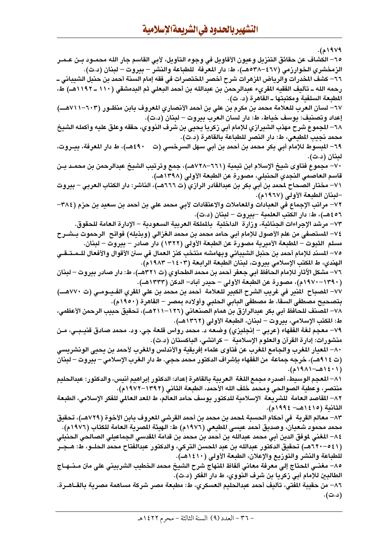۱۹۷۹م).

٦٥– الكشاف عن حقائق التنزيل وعيون الأقاويل في وجوه التأويل، لأبي القاسم جار الله محمــود بــن عــمــر الزمخشري الخوارزمي (٤٦٧-٥٣٨هـ)، ط: دار المعرفة للطباعة والنشر – بيروت – لبنان (د.ت). ٦٦– كشف المخدرات والرياض المزهرات شرح أخصر المختصرات فى فقه إمام السنة أحمد بن حنبل الشيبانى ــ رحمه الله ــ تأليف الفقيه المقرىء عبدالرحمن بن عبدالله بن أحمد البعلي ثم البدمشقي (١١٠ ــ ١١٩٢هــ) ط، المطبعة السلفية ومكتبتها ــ القاهرة (د. ت). ٦٧– لسان العرب للعلامة محمد بن مكرم بن على بن أحمد الأنصاري المعروف بابن منظـور (٦٠٣–٧١١١هـــ) إعداد وتصنيف: يوسف خياط، ط: دار لسان العرب بيروت – لبنان (د.ت). ٦٨– المجموع شرح مهذب الشيرازي للإمام أبى زكريا يحيى بن شرف النووي، حققه وعلق عليه وأكمله الشيخ محمد نجيب المطيعي، ط: دار النصر للطباعة بالقاهرة (د.ت). ٤٩٠هـ)، ط دار المعرفة، بيــروت، ٦٩– المبسوط للإمام أبي بكر محمد بن أحمد بن أبي سهل السرخسي (ت لبنان (د.ت). ٧٠ – مجموع فتاوي شيخ الإسلام ابن تيمية (٦٦١–٧٢٨هــ)، جمع وترتيب الشيخ عبدالرحمن بن محمـد بـن قاسم العاصمي النجدي الحنبلي، مصورة عن الطبعة الأولى (١٣٩٨هـ). ٧١– مختار الصحاح لمحمد بن أبي بكر بن عبدالقادر الرازي (ت ٦٦٦هـ)، الناشر: دار الكتاب العربي – بيروت –لبنان الطبعة الأولى (١٩٦٧م). ٧٢– مراتب الإجماع في العبادات والمعاملات والاعتقادات لأبي محمد علي بن أحمد بن سعيد بن حزم (٣٨٤– ٤٥٦هـ)، ط: دار الكتب العلمية –بيروت – لبنان (د.ت). ٧٣– مرشد الإجراءات الجنائية، وزارة الداخلية بالملكة العربية السعودية – الإدارة العامة للحقوق. ٧٤– المستصفى من علم الأصول للإمام أبي حامد محمد بن محمد الغزالي (وبذيله) فواتح الرحموت بــشــرح مسلم الثبوت – المطبعة الأميرية مصورة عن الطبعة الأولى (١٣٢٢) دار صادر – بيروت – لبنان. ٧٥– المسند للإمام أحمد بن حنبل الشيباني وبهامشه منتخب كنز العمال في سنن الأقوال والأفعال للـمـتـقـي الهندي، ط المكتب الإسلامي بيروت، لبنان الطبعة الرابعة (١٤٠٣–١٩٨٣م). ٧٦– مشكل الآثار للإمام الحافظ أبي جعفر أحمد بن محمد الطحاوي (ت ٣٢١هـ)، ط: دار صادر بيروت – لبنان (١٣٩٠–١٩٧٠م)، مصورة عن الطبعة الأولى – حيدر آباد– الدكن (١٣٣٣هـ). ٧٧– المصباح المنير في غريب الشرح الكبير للعلامة أحمد بن محمد بن على المقري الفـيــومــى (ت ٧٧٠هـــ) بتصحيح مصطفى السقا، ط مصطفى البابي الحلبي وأولاده بمصر – القاهرة (١٩٥٠م). ٧٨– المصنف للحافظ أبي بكر عبدالرازق بن همام الصنعاني (١٢٦–٢١١١هـ)، تحقيق حبيب الرحمن الأعظمي، ط: المكتب الإسلامي، بيروت – لبنان، الطبعة الأولى (١٣٦٢هـ). ٧٩– معجم لغة الفقهاء (عربي – إنجليزي) وضعه د. محمد رواس قلعة جي، ود. محمد صادق قنيـبـي، مـن منشورات: إدارة القرآن والعلوم الإسلامية – كرانتشي، الباكستان (د.ت). ٨٠– المعيار المغرب والجامع المغرب عن فتاوى علماء إفريقية والأندلس والمغرب لأحمد بن يحيى الونشريسي (ت ٩١٤هـ)، خرجه جماعة من الفقهاء بإشراف الدكتور محمد حجي. ط دار الـغرب الإسلامي – بيروت – لبنان  $(11314-12)$ . ٨١– المعجم الوسيط، أصدره مجمع اللغة العربية بالقاهرة إعداد: الدكتور إبراهيم أنيس، والدكتور: عبدالحليم منتصر، وعطية الصوالحي ومحمد خلف الله الأحمد، الطبعة الثاني (١٣٩٢–١٩٧٢م). ٨٢– المقاصد العامة للشريعة الإسلامية للدكتور يوسف حامد العالم، ط المعد العالمي للفكر الإسلامي، الطبعة الثانية (١٤١٥هـ - ١٩٩٤م). ٨٣– معالم القربة في أحكام الحسبة لمحمد بن محمد بن أحمد القرشي المعروف بابن الأخوة (٧٢٩هــ)، تحقيق محمد محمود شعبان، وصديق أحمد عيسى المطيعي (١٩٧٦م) ط: الهيئة المصرية العامة للكتاب (١٩٧٦م). ٨٤– المغنى لموفق الدين أبى محمد عبدالله بن أحمد بن محمد بن قدامة المقدسى الجماعيلى الصالحى الحنبلى (٥٤١-٦٢٠هــ) تحقيق الدكتور عبدالله بن عبد المحسن التركي، والدكتور عبدالفتاح محمد الحلــو، ط: هــجــر للطباعة والنشر والتوزيع والإعلان، الطبعة الأولى (١٤١٠هـ). ٨٥– مغنــي المحتاج إلى معرفة معاني ألفاظ المنهاج شرح الشيخ محمد الخطيب الشربيني على متن مــنــهــاج الطالبين للإمام أبي زكريا بن شرف النووي، ط دار الفكر (د.ت). ٨٦– من حقيبة المفتى، تأليف أحمد عبدالحليم العسكري، ط: مطبعة مصر شركة مساهمة مصرية بالقــاهــرة. (د.ت).